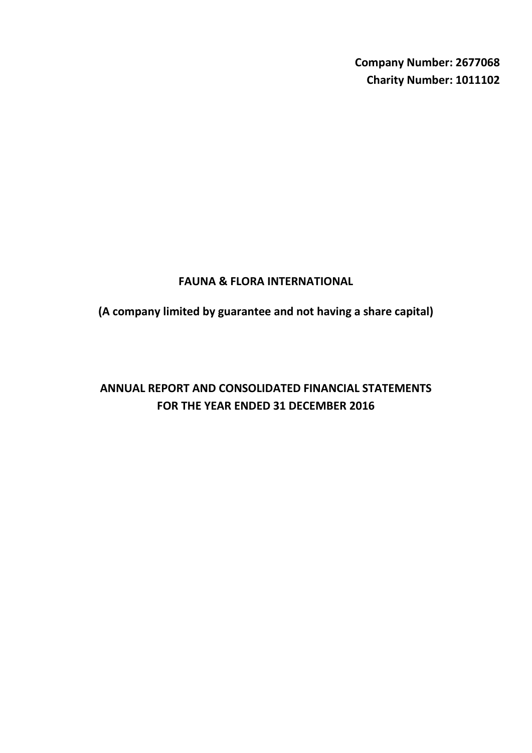**Company Number: 2677068 Charity Number: 1011102**

# **FAUNA & FLORA INTERNATIONAL**

**(A company limited by guarantee and not having a share capital)**

# **ANNUAL REPORT AND CONSOLIDATED FINANCIAL STATEMENTS FOR THE YEAR ENDED 31 DECEMBER 2016**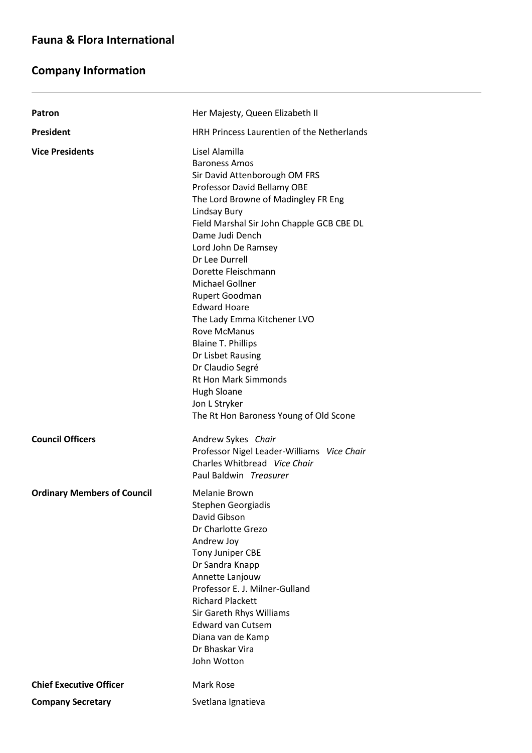# **Company Information**

L

| Patron                             | Her Majesty, Queen Elizabeth II                                                                                                                                                                                                                                                                                                                                                                                                                                                                                                                                                                              |
|------------------------------------|--------------------------------------------------------------------------------------------------------------------------------------------------------------------------------------------------------------------------------------------------------------------------------------------------------------------------------------------------------------------------------------------------------------------------------------------------------------------------------------------------------------------------------------------------------------------------------------------------------------|
| <b>President</b>                   | HRH Princess Laurentien of the Netherlands                                                                                                                                                                                                                                                                                                                                                                                                                                                                                                                                                                   |
| <b>Vice Presidents</b>             | Lisel Alamilla<br><b>Baroness Amos</b><br>Sir David Attenborough OM FRS<br>Professor David Bellamy OBE<br>The Lord Browne of Madingley FR Eng<br>Lindsay Bury<br>Field Marshal Sir John Chapple GCB CBE DL<br>Dame Judi Dench<br>Lord John De Ramsey<br>Dr Lee Durrell<br>Dorette Fleischmann<br><b>Michael Gollner</b><br>Rupert Goodman<br><b>Edward Hoare</b><br>The Lady Emma Kitchener LVO<br><b>Rove McManus</b><br><b>Blaine T. Phillips</b><br>Dr Lisbet Rausing<br>Dr Claudio Segré<br><b>Rt Hon Mark Simmonds</b><br><b>Hugh Sloane</b><br>Jon L Stryker<br>The Rt Hon Baroness Young of Old Scone |
| <b>Council Officers</b>            | Andrew Sykes Chair<br>Professor Nigel Leader-Williams Vice Chair<br>Charles Whitbread Vice Chair<br>Paul Baldwin Treasurer                                                                                                                                                                                                                                                                                                                                                                                                                                                                                   |
| <b>Ordinary Members of Council</b> | Melanie Brown<br>Stephen Georgiadis<br>David Gibson<br>Dr Charlotte Grezo<br>Andrew Joy<br>Tony Juniper CBE<br>Dr Sandra Knapp<br>Annette Lanjouw<br>Professor E. J. Milner-Gulland<br><b>Richard Plackett</b><br>Sir Gareth Rhys Williams<br><b>Edward van Cutsem</b><br>Diana van de Kamp<br>Dr Bhaskar Vira<br>John Wotton                                                                                                                                                                                                                                                                                |
| <b>Chief Executive Officer</b>     | Mark Rose                                                                                                                                                                                                                                                                                                                                                                                                                                                                                                                                                                                                    |
| <b>Company Secretary</b>           | Svetlana Ignatieva                                                                                                                                                                                                                                                                                                                                                                                                                                                                                                                                                                                           |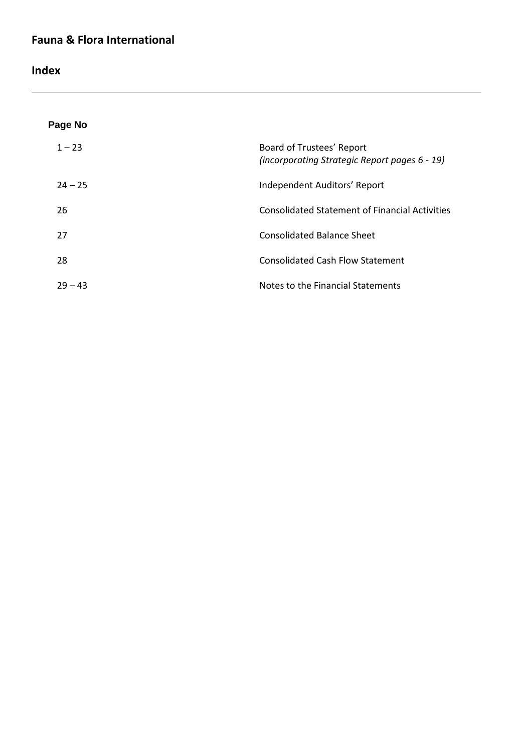**Index**

L

| Page No   |                                                                            |
|-----------|----------------------------------------------------------------------------|
| $1 - 23$  | Board of Trustees' Report<br>(incorporating Strategic Report pages 6 - 19) |
| $24 - 25$ | Independent Auditors' Report                                               |
| 26        | <b>Consolidated Statement of Financial Activities</b>                      |
| 27        | <b>Consolidated Balance Sheet</b>                                          |
| 28        | <b>Consolidated Cash Flow Statement</b>                                    |
| $29 - 43$ | Notes to the Financial Statements                                          |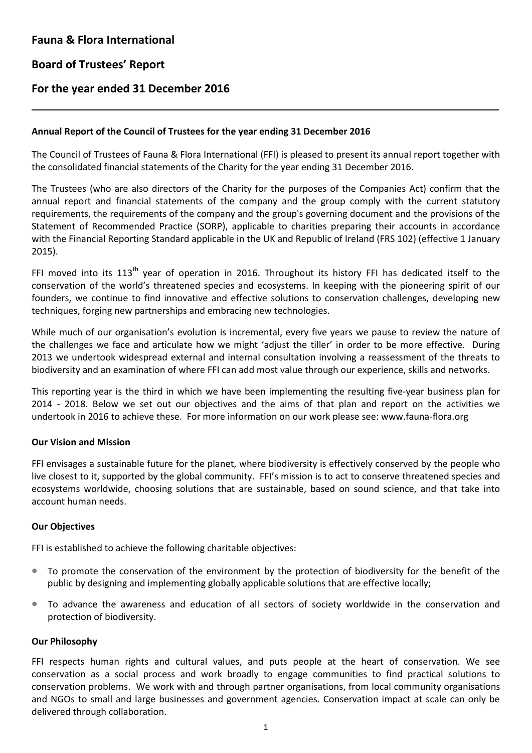## **Board of Trustees' Report**

L

### **For the year ended 31 December 2016**

#### **Annual Report of the Council of Trustees for the year ending 31 December 2016**

The Council of Trustees of Fauna & Flora International (FFI) is pleased to present its annual report together with the consolidated financial statements of the Charity for the year ending 31 December 2016.

The Trustees (who are also directors of the Charity for the purposes of the Companies Act) confirm that the annual report and financial statements of the company and the group comply with the current statutory requirements, the requirements of the company and the group's governing document and the provisions of the Statement of Recommended Practice (SORP), applicable to charities preparing their accounts in accordance with the Financial Reporting Standard applicable in the UK and Republic of Ireland (FRS 102) (effective 1 January 2015).

FFI moved into its  $113<sup>th</sup>$  year of operation in 2016. Throughout its history FFI has dedicated itself to the conservation of the world's threatened species and ecosystems. In keeping with the pioneering spirit of our founders, we continue to find innovative and effective solutions to conservation challenges, developing new techniques, forging new partnerships and embracing new technologies.

While much of our organisation's evolution is incremental, every five years we pause to review the nature of the challenges we face and articulate how we might 'adjust the tiller' in order to be more effective. During 2013 we undertook widespread external and internal consultation involving a reassessment of the threats to biodiversity and an examination of where FFI can add most value through our experience, skills and networks.

This reporting year is the third in which we have been implementing the resulting five-year business plan for 2014 - 2018. Below we set out our objectives and the aims of that plan and report on the activities we undertook in 2016 to achieve these. For more information on our work please see: www.fauna-flora.orgwe

### **Our Vision and Mission**

FFI envisages a sustainable future for the planet, where biodiversity is effectively conserved by the people who live closest to it, supported by the global community. FFI's mission is to act to conserve threatened species and ecosystems worldwide, choosing solutions that are sustainable, based on sound science, and that take into account human needs.

#### **Our Objectives**

FFI is established to achieve the following charitable objectives:

- To promote the conservation of the environment by the protection of biodiversity for the benefit of the public by designing and implementing globally applicable solutions that are effective locally;
- To advance the awareness and education of all sectors of society worldwide in the conservation and protection of biodiversity.

#### **Our Philosophy**

FFI respects human rights and cultural values, and puts people at the heart of conservation. We see conservation as a social process and work broadly to engage communities to find practical solutions to conservation problems. We work with and through partner organisations, from local community organisations and NGOs to small and large businesses and government agencies. Conservation impact at scale can only be delivered through collaboration.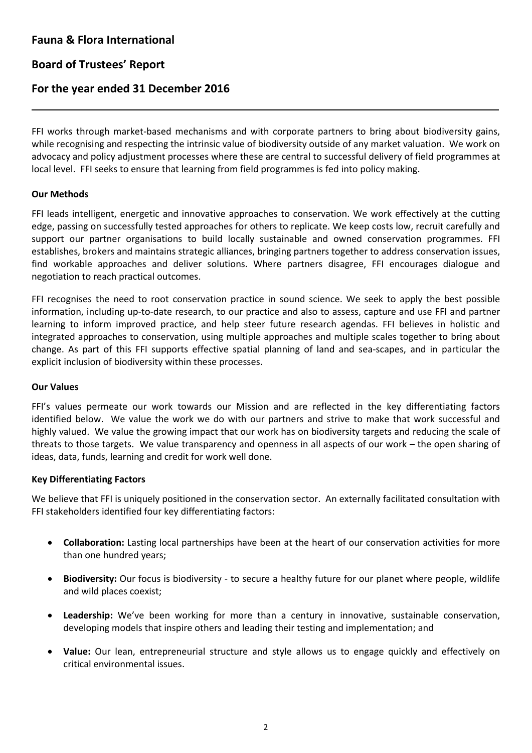# **Board of Trustees' Report**

### **For the year ended 31 December 2016**

FFI works through market-based mechanisms and with corporate partners to bring about biodiversity gains, while recognising and respecting the intrinsic value of biodiversity outside of any market valuation. We work on advocacy and policy adjustment processes where these are central to successful delivery of field programmes at local level. FFI seeks to ensure that learning from field programmes is fed into policy making.

### **Our Methods**

L

FFI leads intelligent, energetic and innovative approaches to conservation. We work effectively at the cutting edge, passing on successfully tested approaches for others to replicate. We keep costs low, recruit carefully and support our partner organisations to build locally sustainable and owned conservation programmes. FFI establishes, brokers and maintains strategic alliances, bringing partners together to address conservation issues, find workable approaches and deliver solutions. Where partners disagree, FFI encourages dialogue and negotiation to reach practical outcomes.

FFI recognises the need to root conservation practice in sound science. We seek to apply the best possible information, including up-to-date research, to our practice and also to assess, capture and use FFI and partner learning to inform improved practice, and help steer future research agendas. FFI believes in holistic and integrated approaches to conservation, using multiple approaches and multiple scales together to bring about change. As part of this FFI supports effective spatial planning of land and sea-scapes, and in particular the explicit inclusion of biodiversity within these processes.

#### **Our Values**

FFI's values permeate our work towards our Mission and are reflected in the key differentiating factors identified below. We value the work we do with our partners and strive to make that work successful and highly valued. We value the growing impact that our work has on biodiversity targets and reducing the scale of threats to those targets. We value transparency and openness in all aspects of our work – the open sharing of ideas, data, funds, learning and credit for work well done.

#### **Key Differentiating Factors**

We believe that FFI is uniquely positioned in the conservation sector. An externally facilitated consultation with FFI stakeholders identified four key differentiating factors:

- **Collaboration:** Lasting local partnerships have been at the heart of our conservation activities for more than one hundred years;
- **Biodiversity:** Our focus is biodiversity to secure a healthy future for our planet where people, wildlife and wild places coexist;
- **Leadership:** We've been working for more than a century in innovative, sustainable conservation, developing models that inspire others and leading their testing and implementation; and
- **Value:** Our lean, entrepreneurial structure and style allows us to engage quickly and effectively on critical environmental issues.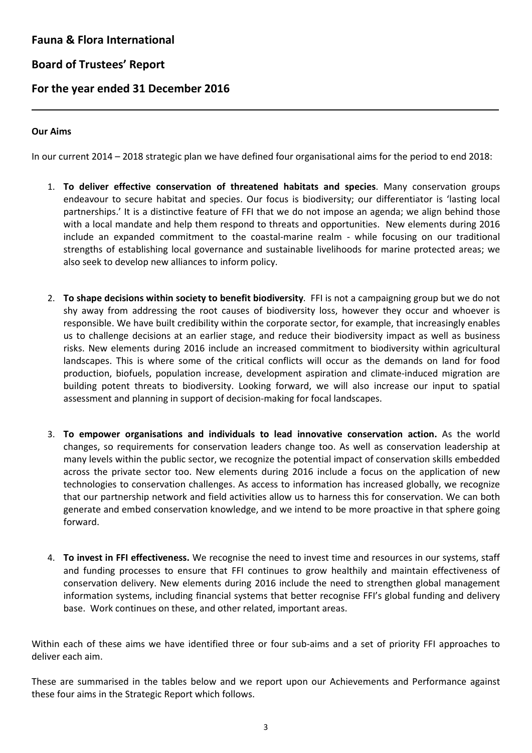# **Board of Trustees' Report**

# **For the year ended 31 December 2016**

### **Our Aims**

L

In our current 2014 – 2018 strategic plan we have defined four organisational aims for the period to end 2018:

- 1. **To deliver effective conservation of threatened habitats and species**. Many conservation groups endeavour to secure habitat and species. Our focus is biodiversity; our differentiator is 'lasting local partnerships.' It is a distinctive feature of FFI that we do not impose an agenda; we align behind those with a local mandate and help them respond to threats and opportunities. New elements during 2016 include an expanded commitment to the coastal-marine realm - while focusing on our traditional strengths of establishing local governance and sustainable livelihoods for marine protected areas; we also seek to develop new alliances to inform policy.
- 2. **To shape decisions within society to benefit biodiversity**. FFI is not a campaigning group but we do not shy away from addressing the root causes of biodiversity loss, however they occur and whoever is responsible. We have built credibility within the corporate sector, for example, that increasingly enables us to challenge decisions at an earlier stage, and reduce their biodiversity impact as well as business risks. New elements during 2016 include an increased commitment to biodiversity within agricultural landscapes. This is where some of the critical conflicts will occur as the demands on land for food production, biofuels, population increase, development aspiration and climate-induced migration are building potent threats to biodiversity. Looking forward, we will also increase our input to spatial assessment and planning in support of decision-making for focal landscapes.
- 3. **To empower organisations and individuals to lead innovative conservation action.** As the world changes, so requirements for conservation leaders change too. As well as conservation leadership at many levels within the public sector, we recognize the potential impact of conservation skills embedded across the private sector too. New elements during 2016 include a focus on the application of new technologies to conservation challenges. As access to information has increased globally, we recognize that our partnership network and field activities allow us to harness this for conservation. We can both generate and embed conservation knowledge, and we intend to be more proactive in that sphere going forward.
- 4. **To invest in FFI effectiveness.** We recognise the need to invest time and resources in our systems, staff and funding processes to ensure that FFI continues to grow healthily and maintain effectiveness of conservation delivery. New elements during 2016 include the need to strengthen global management information systems, including financial systems that better recognise FFI's global funding and delivery base. Work continues on these, and other related, important areas.

Within each of these aims we have identified three or four sub-aims and a set of priority FFI approaches to deliver each aim.

These are summarised in the tables below and we report upon our Achievements and Performance against these four aims in the Strategic Report which follows.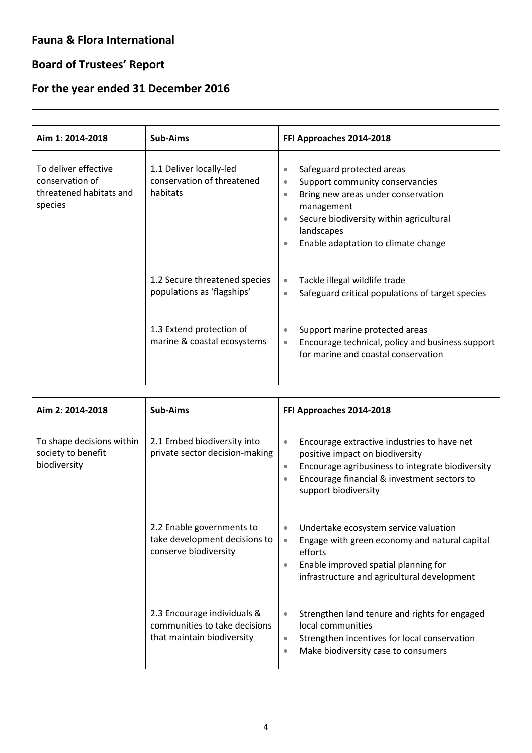# **Board of Trustees' Report**

L

# **For the year ended 31 December 2016**

| Aim 1: 2014-2018                                                              | <b>Sub-Aims</b>                                                   | FFI Approaches 2014-2018                                                                                                                                                                                                                                                  |
|-------------------------------------------------------------------------------|-------------------------------------------------------------------|---------------------------------------------------------------------------------------------------------------------------------------------------------------------------------------------------------------------------------------------------------------------------|
| To deliver effective<br>conservation of<br>threatened habitats and<br>species | 1.1 Deliver locally-led<br>conservation of threatened<br>habitats | Safeguard protected areas<br>۰<br>Support community conservancies<br>$\bullet$<br>Bring new areas under conservation<br>$\bullet$<br>management<br>Secure biodiversity within agricultural<br>$\bullet$<br>landscapes<br>Enable adaptation to climate change<br>$\bullet$ |
|                                                                               | 1.2 Secure threatened species<br>populations as 'flagships'       | Tackle illegal wildlife trade<br>$\bullet$<br>Safeguard critical populations of target species<br>$\bullet$                                                                                                                                                               |
|                                                                               | 1.3 Extend protection of<br>marine & coastal ecosystems           | Support marine protected areas<br>$\bullet$<br>Encourage technical, policy and business support<br>$\bullet$<br>for marine and coastal conservation                                                                                                                       |

| Aim 2: 2014-2018                                                | <b>Sub-Aims</b>                                                                            | FFI Approaches 2014-2018                                                                                                                                                                                                                         |
|-----------------------------------------------------------------|--------------------------------------------------------------------------------------------|--------------------------------------------------------------------------------------------------------------------------------------------------------------------------------------------------------------------------------------------------|
| To shape decisions within<br>society to benefit<br>biodiversity | 2.1 Embed biodiversity into<br>private sector decision-making                              | Encourage extractive industries to have net<br>$\bullet$<br>positive impact on biodiversity<br>Encourage agribusiness to integrate biodiversity<br>$\bullet$<br>Encourage financial & investment sectors to<br>$\bullet$<br>support biodiversity |
|                                                                 | 2.2 Enable governments to<br>take development decisions to<br>conserve biodiversity        | Undertake ecosystem service valuation<br>$\bullet$<br>Engage with green economy and natural capital<br>$\bullet$<br>efforts<br>Enable improved spatial planning for<br>$\bullet$<br>infrastructure and agricultural development                  |
|                                                                 | 2.3 Encourage individuals &<br>communities to take decisions<br>that maintain biodiversity | Strengthen land tenure and rights for engaged<br>$\bullet$<br>local communities<br>Strengthen incentives for local conservation<br>$\bullet$<br>Make biodiversity case to consumers<br>$\bullet$                                                 |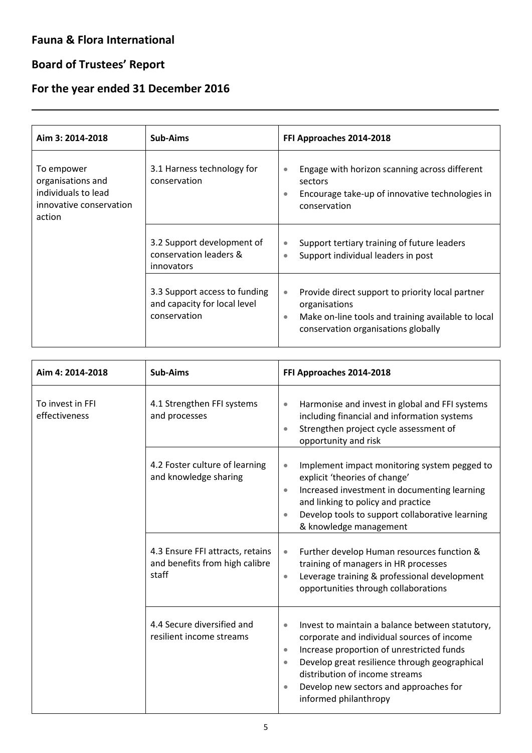# **Board of Trustees' Report**

L

# **For the year ended 31 December 2016**

| Aim 3: 2014-2018                                                                            | Sub-Aims                                                                      | FFI Approaches 2014-2018                                                                                                                                                                 |
|---------------------------------------------------------------------------------------------|-------------------------------------------------------------------------------|------------------------------------------------------------------------------------------------------------------------------------------------------------------------------------------|
| To empower<br>organisations and<br>individuals to lead<br>innovative conservation<br>action | 3.1 Harness technology for<br>conservation                                    | Engage with horizon scanning across different<br>$\bullet$<br>sectors<br>Encourage take-up of innovative technologies in<br>$\bullet$<br>conservation                                    |
|                                                                                             | 3.2 Support development of<br>conservation leaders &<br>innovators            | Support tertiary training of future leaders<br>$\bullet$<br>Support individual leaders in post<br>$\bullet$                                                                              |
|                                                                                             | 3.3 Support access to funding<br>and capacity for local level<br>conservation | Provide direct support to priority local partner<br>$\bullet$<br>organisations<br>Make on-line tools and training available to local<br>$\bullet$<br>conservation organisations globally |

| Aim 4: 2014-2018                                                                 | <b>Sub-Aims</b>                                                                                                                        | FFI Approaches 2014-2018                                                                                                                                                                                                                                                                                                                                                                                                                                                           |
|----------------------------------------------------------------------------------|----------------------------------------------------------------------------------------------------------------------------------------|------------------------------------------------------------------------------------------------------------------------------------------------------------------------------------------------------------------------------------------------------------------------------------------------------------------------------------------------------------------------------------------------------------------------------------------------------------------------------------|
| To invest in FFI<br>4.1 Strengthen FFI systems<br>effectiveness<br>and processes |                                                                                                                                        | Harmonise and invest in global and FFI systems<br>$\bullet$<br>including financial and information systems<br>Strengthen project cycle assessment of<br>$\bullet$<br>opportunity and risk                                                                                                                                                                                                                                                                                          |
|                                                                                  | 4.2 Foster culture of learning<br>and knowledge sharing<br>4.3 Ensure FFI attracts, retains<br>and benefits from high calibre<br>staff | Implement impact monitoring system pegged to<br>$\bullet$<br>explicit 'theories of change'<br>Increased investment in documenting learning<br>$\bullet$<br>and linking to policy and practice<br>Develop tools to support collaborative learning<br>& knowledge management<br>Further develop Human resources function &<br>$\bullet$<br>training of managers in HR processes<br>Leverage training & professional development<br>$\bullet$<br>opportunities through collaborations |
|                                                                                  | 4.4 Secure diversified and<br>resilient income streams                                                                                 | Invest to maintain a balance between statutory,<br>$\bullet$<br>corporate and individual sources of income<br>Increase proportion of unrestricted funds<br>$\bullet$<br>Develop great resilience through geographical<br>$\bullet$<br>distribution of income streams<br>Develop new sectors and approaches for<br>$\bullet$<br>informed philanthropy                                                                                                                               |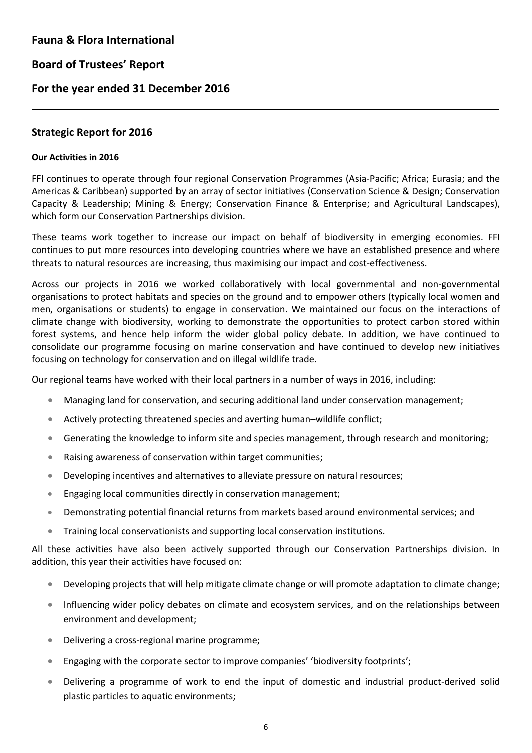### **For the year ended 31 December 2016**

### **Strategic Report for 2016**

### **Our Activities in 2016**

L

FFI continues to operate through four regional Conservation Programmes (Asia-Pacific; Africa; Eurasia; and the Americas & Caribbean) supported by an array of sector initiatives (Conservation Science & Design; Conservation Capacity & Leadership; Mining & Energy; Conservation Finance & Enterprise; and Agricultural Landscapes), which form our Conservation Partnerships division.

These teams work together to increase our impact on behalf of biodiversity in emerging economies. FFI continues to put more resources into developing countries where we have an established presence and where threats to natural resources are increasing, thus maximising our impact and cost-effectiveness.

Across our projects in 2016 we worked collaboratively with local governmental and non-governmental organisations to protect habitats and species on the ground and to empower others (typically local women and men, organisations or students) to engage in conservation. We maintained our focus on the interactions of climate change with biodiversity, working to demonstrate the opportunities to protect carbon stored within forest systems, and hence help inform the wider global policy debate. In addition, we have continued to consolidate our programme focusing on marine conservation and have continued to develop new initiatives focusing on technology for conservation and on illegal wildlife trade.

Our regional teams have worked with their local partners in a number of ways in 2016, including:

- Managing land for conservation, and securing additional land under conservation management;
- Actively protecting threatened species and averting human–wildlife conflict;
- Generating the knowledge to inform site and species management, through research and monitoring;
- Raising awareness of conservation within target communities;
- Developing incentives and alternatives to alleviate pressure on natural resources;
- Engaging local communities directly in conservation management;
- Demonstrating potential financial returns from markets based around environmental services; and
- Training local conservationists and supporting local conservation institutions.

All these activities have also been actively supported through our Conservation Partnerships division. In addition, this year their activities have focused on:

- Developing projects that will help mitigate climate change or will promote adaptation to climate change;
- Influencing wider policy debates on climate and ecosystem services, and on the relationships between environment and development;
- Delivering a cross-regional marine programme;
- Engaging with the corporate sector to improve companies' 'biodiversity footprints';
- Delivering a programme of work to end the input of domestic and industrial product-derived solid plastic particles to aquatic environments;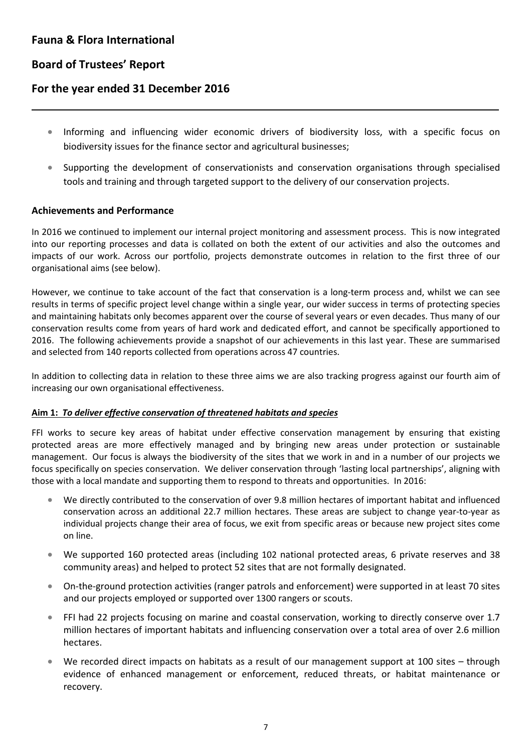L

# **For the year ended 31 December 2016**

- Informing and influencing wider economic drivers of biodiversity loss, with a specific focus on biodiversity issues for the finance sector and agricultural businesses;
- Supporting the development of conservationists and conservation organisations through specialised tools and training and through targeted support to the delivery of our conservation projects.

### **Achievements and Performance**

In 2016 we continued to implement our internal project monitoring and assessment process. This is now integrated into our reporting processes and data is collated on both the extent of our activities and also the outcomes and impacts of our work. Across our portfolio, projects demonstrate outcomes in relation to the first three of our organisational aims (see below).

However, we continue to take account of the fact that conservation is a long-term process and, whilst we can see results in terms of specific project level change within a single year, our wider success in terms of protecting species and maintaining habitats only becomes apparent over the course of several years or even decades. Thus many of our conservation results come from years of hard work and dedicated effort, and cannot be specifically apportioned to 2016. The following achievements provide a snapshot of our achievements in this last year. These are summarised and selected from 140 reports collected from operations across 47 countries.

In addition to collecting data in relation to these three aims we are also tracking progress against our fourth aim of increasing our own organisational effectiveness.

### **Aim 1:** *To deliver effective conservation of threatened habitats and species*

FFI works to secure key areas of habitat under effective conservation management by ensuring that existing protected areas are more effectively managed and by bringing new areas under protection or sustainable management. Our focus is always the biodiversity of the sites that we work in and in a number of our projects we focus specifically on species conservation. We deliver conservation through 'lasting local partnerships', aligning with those with a local mandate and supporting them to respond to threats and opportunities. In 2016:

- We directly contributed to the conservation of over 9.8 million hectares of important habitat and influenced conservation across an additional 22.7 million hectares. These areas are subject to change year-to-year as individual projects change their area of focus, we exit from specific areas or because new project sites come on line.
- We supported 160 protected areas (including 102 national protected areas, 6 private reserves and 38 community areas) and helped to protect 52 sites that are not formally designated.
- On-the-ground protection activities (ranger patrols and enforcement) were supported in at least 70 sites and our projects employed or supported over 1300 rangers or scouts.
- FFI had 22 projects focusing on marine and coastal conservation, working to directly conserve over 1.7 million hectares of important habitats and influencing conservation over a total area of over 2.6 million hectares.
- We recorded direct impacts on habitats as a result of our management support at 100 sites through evidence of enhanced management or enforcement, reduced threats, or habitat maintenance or recovery.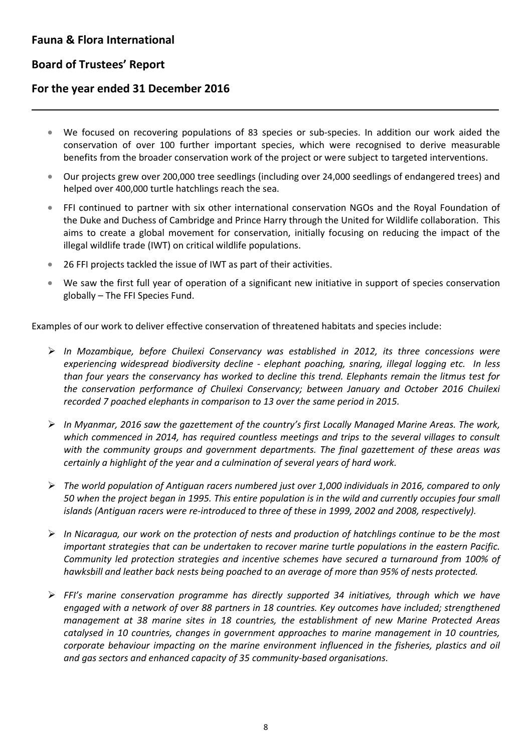L

# **For the year ended 31 December 2016**

- We focused on recovering populations of 83 species or sub-species. In addition our work aided the conservation of over 100 further important species, which were recognised to derive measurable benefits from the broader conservation work of the project or were subject to targeted interventions.
- Our projects grew over 200,000 tree seedlings (including over 24,000 seedlings of endangered trees) and helped over 400,000 turtle hatchlings reach the sea.
- FFI continued to partner with six other international conservation NGOs and the Royal Foundation of the Duke and Duchess of Cambridge and Prince Harry through the United for Wildlife collaboration. This aims to create a global movement for conservation, initially focusing on reducing the impact of the illegal wildlife trade (IWT) on critical wildlife populations.
- 26 FFI projects tackled the issue of IWT as part of their activities.
- We saw the first full year of operation of a significant new initiative in support of species conservation globally – The FFI Species Fund.

Examples of our work to deliver effective conservation of threatened habitats and species include:

- *In Mozambique, before Chuilexi Conservancy was established in 2012, its three concessions were experiencing widespread biodiversity decline - elephant poaching, snaring, illegal logging etc. In less than four years the conservancy has worked to decline this trend. Elephants remain the litmus test for the conservation performance of Chuilexi Conservancy; between January and October 2016 Chuilexi recorded 7 poached elephants in comparison to 13 over the same period in 2015.*
- *In Myanmar, 2016 saw the gazettement of the country's first Locally Managed Marine Areas. The work, which commenced in 2014, has required countless meetings and trips to the several villages to consult with the community groups and government departments. The final gazettement of these areas was certainly a highlight of the year and a culmination of several years of hard work.*
- *The world population of Antiguan racers numbered just over 1,000 individuals in 2016, compared to only 50 when the project began in 1995. This entire population is in the wild and currently occupies four small islands (Antiguan racers were re-introduced to three of these in 1999, 2002 and 2008, respectively).*
- *In Nicaragua, our work on the protection of nests and production of hatchlings continue to be the most important strategies that can be undertaken to recover marine turtle populations in the eastern Pacific. Community led protection strategies and incentive schemes have secured a turnaround from 100% of hawksbill and leather back nests being poached to an average of more than 95% of nests protected.*
- *FFI's marine conservation programme has directly supported 34 initiatives, through which we have engaged with a network of over 88 partners in 18 countries. Key outcomes have included; strengthened management at 38 marine sites in 18 countries, the establishment of new Marine Protected Areas catalysed in 10 countries, changes in government approaches to marine management in 10 countries, corporate behaviour impacting on the marine environment influenced in the fisheries, plastics and oil and gas sectors and enhanced capacity of 35 community-based organisations.*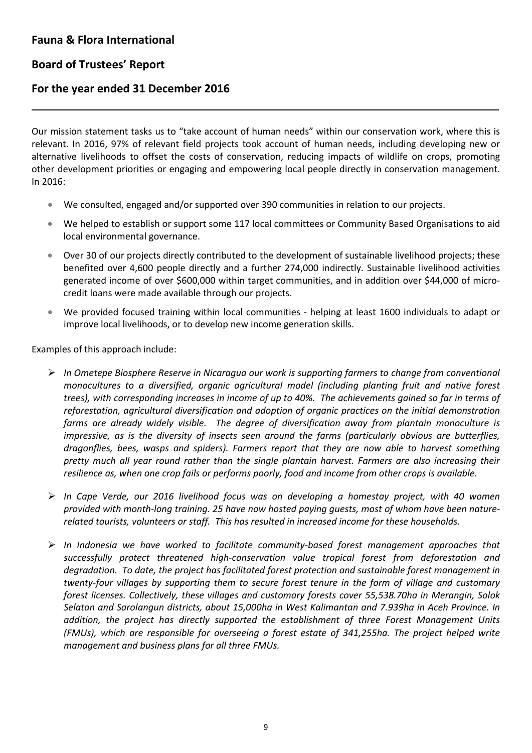# **Board of Trustees' Report**

L

### **For the year ended 31 December 2016**

Our mission statement tasks us to "take account of human needs" within our conservation work, where this is relevant. In 2016, 97% of relevant field projects took account of human needs, including developing new or alternative livelihoods to offset the costs of conservation, reducing impacts of wildlife on crops, promoting other development priorities or engaging and empowering local people directly in conservation management. In 2016:

- We consulted, engaged and/or supported over 390 communities in relation to our projects.
- We helped to establish or support some 117 local committees or Community Based Organisations to aid local environmental governance.
- Over 30 of our projects directly contributed to the development of sustainable livelihood projects; these benefited over 4,600 people directly and a further 274,000 indirectly. Sustainable livelihood activities generated income of over \$600,000 within target communities, and in addition over \$44,000 of microcredit loans were made available through our projects.
- We provided focused training within local communities helping at least 1600 individuals to adapt or improve local livelihoods, or to develop new income generation skills.

Examples of this approach include:

- *In Ometepe Biosphere Reserve in Nicaragua our work is supporting farmers to change from conventional monocultures to a diversified, organic agricultural model (including planting fruit and native forest trees), with corresponding increases in income of up to 40%. The achievements gained so far in terms of reforestation, agricultural diversification and adoption of organic practices on the initial demonstration farms are already widely visible. The degree of diversification away from plantain monoculture is impressive, as is the diversity of insects seen around the farms (particularly obvious are butterflies, dragonflies, bees, wasps and spiders). Farmers report that they are now able to harvest something pretty much all year round rather than the single plantain harvest. Farmers are also increasing their resilience as, when one crop fails or performs poorly, food and income from other crops is available.*
- *In Cape Verde, our 2016 livelihood focus was on developing a homestay project, with 40 women provided with month-long training. 25 have now hosted paying guests, most of whom have been naturerelated tourists, volunteers or staff. This has resulted in increased income for these households.*
- *In Indonesia we have worked to facilitate community-based forest management approaches that successfully protect threatened high-conservation value tropical forest from deforestation and degradation. To date, the project has facilitated forest protection and sustainable forest management in twenty-four villages by supporting them to secure forest tenure in the form of village and customary forest licenses. Collectively, these villages and customary forests cover 55,538.70ha in Merangin, Solok Selatan and Sarolangun districts, about 15,000ha in West Kalimantan and 7.939ha in Aceh Province. In addition, the project has directly supported the establishment of three Forest Management Units (FMUs), which are responsible for overseeing a forest estate of 341,255ha. The project helped write management and business plans for all three FMUs.*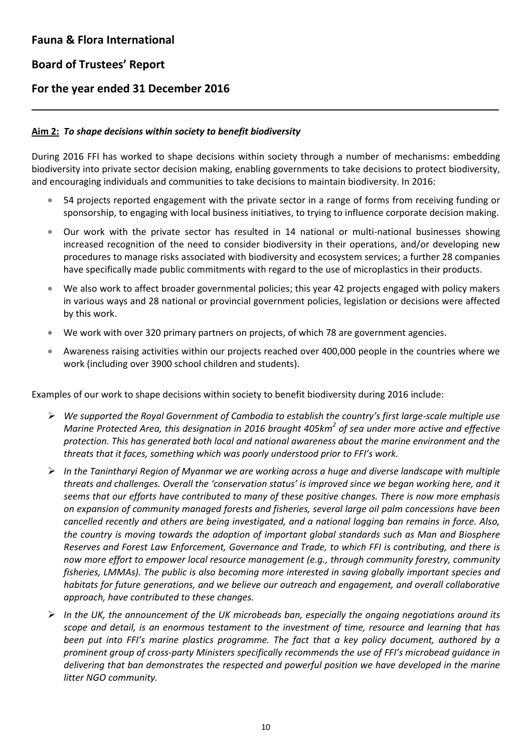L

# **For the year ended 31 December 2016**

### **Aim 2:** *To shape decisions within society to benefit biodiversity*

During 2016 FFI has worked to shape decisions within society through a number of mechanisms: embedding biodiversity into private sector decision making, enabling governments to take decisions to protect biodiversity, and encouraging individuals and communities to take decisions to maintain biodiversity. In 2016:

- 54 projects reported engagement with the private sector in a range of forms from receiving funding or sponsorship, to engaging with local business initiatives, to trying to influence corporate decision making.
- Our work with the private sector has resulted in 14 national or multi-national businesses showing increased recognition of the need to consider biodiversity in their operations, and/or developing new procedures to manage risks associated with biodiversity and ecosystem services; a further 28 companies have specifically made public commitments with regard to the use of microplastics in their products.
- We also work to affect broader governmental policies; this year 42 projects engaged with policy makers in various ways and 28 national or provincial government policies, legislation or decisions were affected by this work.
- We work with over 320 primary partners on projects, of which 78 are government agencies.
- Awareness raising activities within our projects reached over 400,000 people in the countries where we work (including over 3900 school children and students).

Examples of our work to shape decisions within society to benefit biodiversity during 2016 include:

- *We supported the Royal Government of Cambodia to establish the country's first large-scale multiple use Marine Protected Area, this designation in 2016 brought 405km<sup>2</sup> of sea under more active and effective protection. This has generated both local and national awareness about the marine environment and the threats that it faces, something which was poorly understood prior to FFI's work.*
- *In the Tanintharyi Region of Myanmar we are working across a huge and diverse landscape with multiple threats and challenges. Overall the 'conservation status' is improved since we began working here, and it seems that our efforts have contributed to many of these positive changes. There is now more emphasis on expansion of community managed forests and fisheries, several large oil palm concessions have been cancelled recently and others are being investigated, and a national logging ban remains in force. Also, the country is moving towards the adoption of important global standards such as Man and Biosphere Reserves and Forest Law Enforcement, Governance and Trade, to which FFI is contributing, and there is now more effort to empower local resource management (e.g., through community forestry, community fisheries, LMMAs). The public is also becoming more interested in saving globally important species and habitats for future generations, and we believe our outreach and engagement, and overall collaborative approach, have contributed to these changes.*
- *In the UK, the announcement of the UK microbeads ban, especially the ongoing negotiations around its scope and detail, is an enormous testament to the investment of time, resource and learning that has been put into FFI's marine plastics programme. The fact that a key policy document, authored by a prominent group of cross-party Ministers specifically recommends the use of FFI's microbead guidance in delivering that ban demonstrates the respected and powerful position we have developed in the marine litter NGO community.*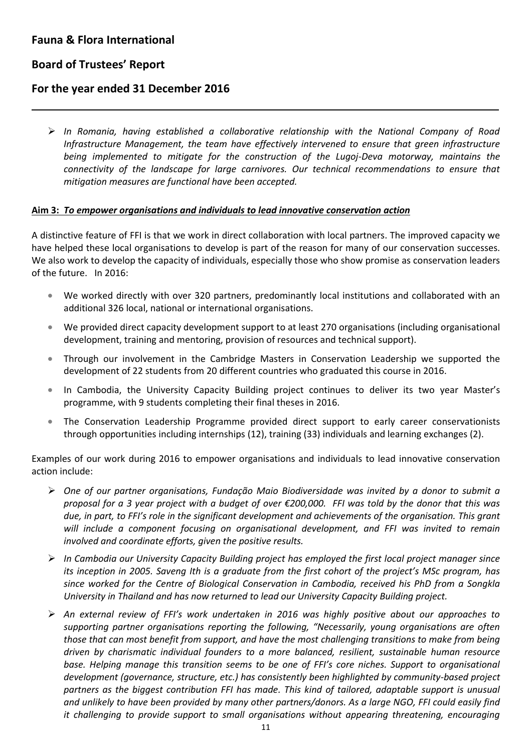# **Board of Trustees' Report**

L

### **For the year ended 31 December 2016**

 *In Romania, having established a collaborative relationship with the National Company of Road Infrastructure Management, the team have effectively intervened to ensure that green infrastructure being implemented to mitigate for the construction of the Lugoj-Deva motorway, maintains the connectivity of the landscape for large carnivores. Our technical recommendations to ensure that mitigation measures are functional have been accepted.*

### **Aim 3:** *To empower organisations and individuals to lead innovative conservation action*

A distinctive feature of FFI is that we work in direct collaboration with local partners. The improved capacity we have helped these local organisations to develop is part of the reason for many of our conservation successes. We also work to develop the capacity of individuals, especially those who show promise as conservation leaders of the future. In 2016:

- We worked directly with over 320 partners, predominantly local institutions and collaborated with an additional 326 local, national or international organisations.
- We provided direct capacity development support to at least 270 organisations (including organisational development, training and mentoring, provision of resources and technical support).
- Through our involvement in the Cambridge Masters in Conservation Leadership we supported the development of 22 students from 20 different countries who graduated this course in 2016.
- In Cambodia, the University Capacity Building project continues to deliver its two year Master's programme, with 9 students completing their final theses in 2016.
- The Conservation Leadership Programme provided direct support to early career conservationists through opportunities including internships (12), training (33) individuals and learning exchanges (2).

Examples of our work during 2016 to empower organisations and individuals to lead innovative conservation action include:

- *One of our partner organisations, Fundação Maio Biodiversidade was invited by a donor to submit a proposal for a 3 year project with a budget of over €200,000. FFI was told by the donor that this was due, in part, to FFI's role in the significant development and achievements of the organisation. This grant will include a component focusing on organisational development, and FFI was invited to remain involved and coordinate efforts, given the positive results.*
- *In Cambodia our University Capacity Building project has employed the first local project manager since its inception in 2005. Saveng Ith is a graduate from the first cohort of the project's MSc program, has since worked for the Centre of Biological Conservation in Cambodia, received his PhD from a Songkla University in Thailand and has now returned to lead our University Capacity Building project.*
- *An external review of FFI's work undertaken in 2016 was highly positive about our approaches to supporting partner organisations reporting the following, "Necessarily, young organisations are often those that can most benefit from support, and have the most challenging transitions to make from being driven by charismatic individual founders to a more balanced, resilient, sustainable human resource*  base. Helping manage this transition seems to be one of FFI's core niches. Support to organisational *development (governance, structure, etc.) has consistently been highlighted by community-based project partners as the biggest contribution FFI has made. This kind of tailored, adaptable support is unusual and unlikely to have been provided by many other partners/donors. As a large NGO, FFI could easily find it challenging to provide support to small organisations without appearing threatening, encouraging*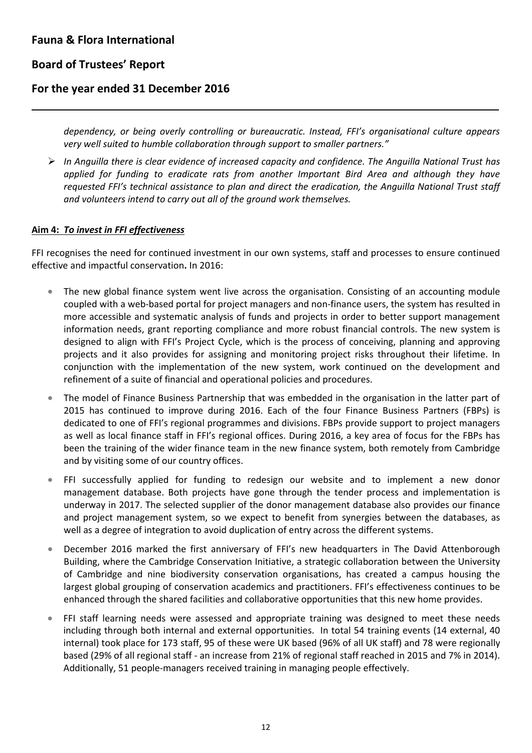L

# **For the year ended 31 December 2016**

*dependency, or being overly controlling or bureaucratic. Instead, FFI's organisational culture appears very well suited to humble collaboration through support to smaller partners."*

 *In Anguilla there is clear evidence of increased capacity and confidence. The Anguilla National Trust has applied for funding to eradicate rats from another Important Bird Area and although they have requested FFI's technical assistance to plan and direct the eradication, the Anguilla National Trust staff and volunteers intend to carry out all of the ground work themselves.*

### **Aim 4:** *To invest in FFI effectiveness*

FFI recognises the need for continued investment in our own systems, staff and processes to ensure continued effective and impactful conservation**.** In 2016:

- The new global finance system went live across the organisation. Consisting of an accounting module coupled with a web-based portal for project managers and non-finance users, the system has resulted in more accessible and systematic analysis of funds and projects in order to better support management information needs, grant reporting compliance and more robust financial controls. The new system is designed to align with FFI's Project Cycle, which is the process of conceiving, planning and approving projects and it also provides for assigning and monitoring project risks throughout their lifetime. In conjunction with the implementation of the new system, work continued on the development and refinement of a suite of financial and operational policies and procedures.
- The model of Finance Business Partnership that was embedded in the organisation in the latter part of 2015 has continued to improve during 2016. Each of the four Finance Business Partners (FBPs) is dedicated to one of FFI's regional programmes and divisions. FBPs provide support to project managers as well as local finance staff in FFI's regional offices. During 2016, a key area of focus for the FBPs has been the training of the wider finance team in the new finance system, both remotely from Cambridge and by visiting some of our country offices.
- FFI successfully applied for funding to redesign our website and to implement a new donor management database. Both projects have gone through the tender process and implementation is underway in 2017. The selected supplier of the donor management database also provides our finance and project management system, so we expect to benefit from synergies between the databases, as well as a degree of integration to avoid duplication of entry across the different systems.
- December 2016 marked the first anniversary of FFI's new headquarters in The David Attenborough Building, where the Cambridge Conservation Initiative, a strategic collaboration between the University of Cambridge and nine biodiversity conservation organisations, has created a campus housing the largest global grouping of conservation academics and practitioners. FFI's effectiveness continues to be enhanced through the shared facilities and collaborative opportunities that this new home provides.
- FFI staff learning needs were assessed and appropriate training was designed to meet these needs including through both internal and external opportunities. In total 54 training events (14 external, 40 internal) took place for 173 staff, 95 of these were UK based (96% of all UK staff) and 78 were regionally based (29% of all regional staff - an increase from 21% of regional staff reached in 2015 and 7% in 2014). Additionally, 51 people-managers received training in managing people effectively.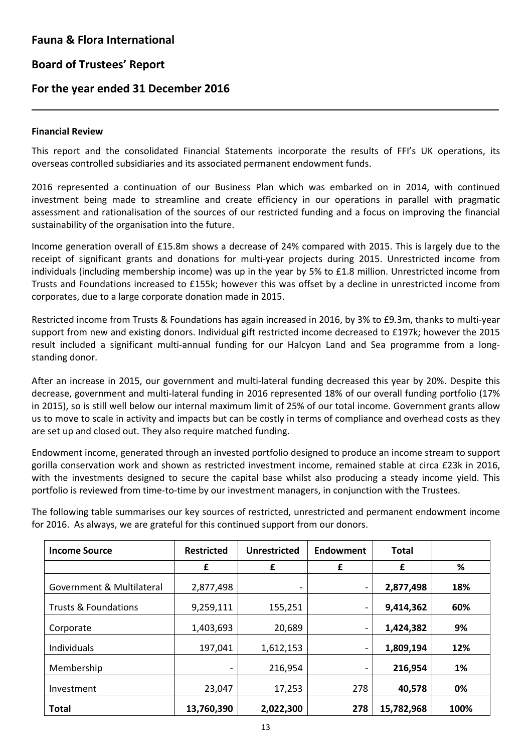### **For the year ended 31 December 2016**

#### **Financial Review**

L

This report and the consolidated Financial Statements incorporate the results of FFI's UK operations, its overseas controlled subsidiaries and its associated permanent endowment funds.

2016 represented a continuation of our Business Plan which was embarked on in 2014, with continued investment being made to streamline and create efficiency in our operations in parallel with pragmatic assessment and rationalisation of the sources of our restricted funding and a focus on improving the financial sustainability of the organisation into the future.

Income generation overall of £15.8m shows a decrease of 24% compared with 2015. This is largely due to the receipt of significant grants and donations for multi-year projects during 2015. Unrestricted income from individuals (including membership income) was up in the year by 5% to £1.8 million. Unrestricted income from Trusts and Foundations increased to £155k; however this was offset by a decline in unrestricted income from corporates, due to a large corporate donation made in 2015.

Restricted income from Trusts & Foundations has again increased in 2016, by 3% to £9.3m, thanks to multi-year support from new and existing donors. Individual gift restricted income decreased to £197k; however the 2015 result included a significant multi-annual funding for our Halcyon Land and Sea programme from a longstanding donor.

After an increase in 2015, our government and multi-lateral funding decreased this year by 20%. Despite this decrease, government and multi-lateral funding in 2016 represented 18% of our overall funding portfolio (17% in 2015), so is still well below our internal maximum limit of 25% of our total income. Government grants allow us to move to scale in activity and impacts but can be costly in terms of compliance and overhead costs as they are set up and closed out. They also require matched funding.

Endowment income, generated through an invested portfolio designed to produce an income stream to support gorilla conservation work and shown as restricted investment income, remained stable at circa £23k in 2016, with the investments designed to secure the capital base whilst also producing a steady income yield. This portfolio is reviewed from time-to-time by our investment managers, in conjunction with the Trustees.

The following table summarises our key sources of restricted, unrestricted and permanent endowment income for 2016. As always, we are grateful for this continued support from our donors.

| <b>Income Source</b>            | <b>Restricted</b> | <b>Unrestricted</b><br>Endowment |     | <b>Total</b> |      |
|---------------------------------|-------------------|----------------------------------|-----|--------------|------|
|                                 | £                 | £                                | £   | £            | %    |
| Government & Multilateral       | 2,877,498         | -                                | -   | 2,877,498    | 18%  |
| <b>Trusts &amp; Foundations</b> | 9,259,111         | 155,251                          | Ξ.  | 9,414,362    | 60%  |
| Corporate                       | 1,403,693         | 20,689                           | Ξ.  | 1,424,382    | 9%   |
| Individuals                     | 197,041           | 1,612,153                        | -   | 1,809,194    | 12%  |
| Membership                      |                   | 216,954                          | -   | 216,954      | 1%   |
| Investment                      | 23,047            | 17,253                           | 278 | 40,578       | 0%   |
| <b>Total</b>                    | 13,760,390        | 2,022,300                        | 278 | 15,782,968   | 100% |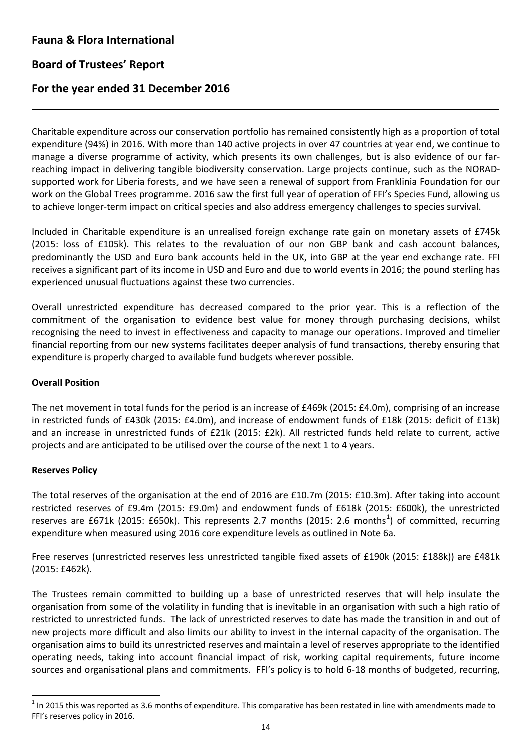L

# **For the year ended 31 December 2016**

Charitable expenditure across our conservation portfolio has remained consistently high as a proportion of total expenditure (94%) in 2016. With more than 140 active projects in over 47 countries at year end, we continue to manage a diverse programme of activity, which presents its own challenges, but is also evidence of our farreaching impact in delivering tangible biodiversity conservation. Large projects continue, such as the NORADsupported work for Liberia forests, and we have seen a renewal of support from Franklinia Foundation for our work on the Global Trees programme. 2016 saw the first full year of operation of FFI's Species Fund, allowing us to achieve longer-term impact on critical species and also address emergency challenges to species survival.

Included in Charitable expenditure is an unrealised foreign exchange rate gain on monetary assets of £745k (2015: loss of £105k). This relates to the revaluation of our non GBP bank and cash account balances, predominantly the USD and Euro bank accounts held in the UK, into GBP at the year end exchange rate. FFI receives a significant part of its income in USD and Euro and due to world events in 2016; the pound sterling has experienced unusual fluctuations against these two currencies.

Overall unrestricted expenditure has decreased compared to the prior year. This is a reflection of the commitment of the organisation to evidence best value for money through purchasing decisions, whilst recognising the need to invest in effectiveness and capacity to manage our operations. Improved and timelier financial reporting from our new systems facilitates deeper analysis of fund transactions, thereby ensuring that expenditure is properly charged to available fund budgets wherever possible.

### **Overall Position**

The net movement in total funds for the period is an increase of £469k (2015: £4.0m), comprising of an increase in restricted funds of £430k (2015: £4.0m), and increase of endowment funds of £18k (2015: deficit of £13k) and an increase in unrestricted funds of £21k (2015: £2k). All restricted funds held relate to current, active projects and are anticipated to be utilised over the course of the next 1 to 4 years.

### **Reserves Policy**

The total reserves of the organisation at the end of 2016 are £10.7m (2015: £10.3m). After taking into account restricted reserves of £9.4m (2015: £9.0m) and endowment funds of £618k (2015: £600k), the unrestricted reserves are £67[1](#page-16-0)k (2015: £650k). This represents 2.7 months (2015: 2.6 months<sup>1</sup>) of committed, recurring expenditure when measured using 2016 core expenditure levels as outlined in Note 6a.

Free reserves (unrestricted reserves less unrestricted tangible fixed assets of £190k (2015: £188k)) are £481k (2015: £462k).

The Trustees remain committed to building up a base of unrestricted reserves that will help insulate the organisation from some of the volatility in funding that is inevitable in an organisation with such a high ratio of restricted to unrestricted funds. The lack of unrestricted reserves to date has made the transition in and out of new projects more difficult and also limits our ability to invest in the internal capacity of the organisation. The organisation aims to build its unrestricted reserves and maintain a level of reserves appropriate to the identified operating needs, taking into account financial impact of risk, working capital requirements, future income sources and organisational plans and commitments. FFI's policy is to hold 6-18 months of budgeted, recurring,

<span id="page-16-0"></span> $1$  In 2015 this was reported as 3.6 months of expenditure. This comparative has been restated in line with amendments made to FFI's reserves policy in 2016.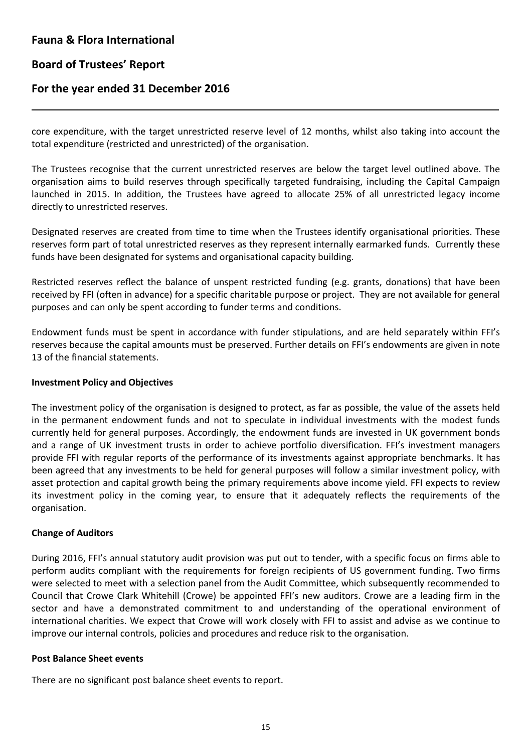## **Board of Trustees' Report**

L

### **For the year ended 31 December 2016**

core expenditure, with the target unrestricted reserve level of 12 months, whilst also taking into account the total expenditure (restricted and unrestricted) of the organisation.

The Trustees recognise that the current unrestricted reserves are below the target level outlined above. The organisation aims to build reserves through specifically targeted fundraising, including the Capital Campaign launched in 2015. In addition, the Trustees have agreed to allocate 25% of all unrestricted legacy income directly to unrestricted reserves.

Designated reserves are created from time to time when the Trustees identify organisational priorities. These reserves form part of total unrestricted reserves as they represent internally earmarked funds. Currently these funds have been designated for systems and organisational capacity building.

Restricted reserves reflect the balance of unspent restricted funding (e.g. grants, donations) that have been received by FFI (often in advance) for a specific charitable purpose or project. They are not available for general purposes and can only be spent according to funder terms and conditions.

Endowment funds must be spent in accordance with funder stipulations, and are held separately within FFI's reserves because the capital amounts must be preserved. Further details on FFI's endowments are given in note 13 of the financial statements.

#### **Investment Policy and Objectives**

The investment policy of the organisation is designed to protect, as far as possible, the value of the assets held in the permanent endowment funds and not to speculate in individual investments with the modest funds currently held for general purposes. Accordingly, the endowment funds are invested in UK government bonds and a range of UK investment trusts in order to achieve portfolio diversification. FFI's investment managers provide FFI with regular reports of the performance of its investments against appropriate benchmarks. It has been agreed that any investments to be held for general purposes will follow a similar investment policy, with asset protection and capital growth being the primary requirements above income yield. FFI expects to review its investment policy in the coming year, to ensure that it adequately reflects the requirements of the organisation.

### **Change of Auditors**

During 2016, FFI's annual statutory audit provision was put out to tender, with a specific focus on firms able to perform audits compliant with the requirements for foreign recipients of US government funding. Two firms were selected to meet with a selection panel from the Audit Committee, which subsequently recommended to Council that Crowe Clark Whitehill (Crowe) be appointed FFI's new auditors. Crowe are a leading firm in the sector and have a demonstrated commitment to and understanding of the operational environment of international charities. We expect that Crowe will work closely with FFI to assist and advise as we continue to improve our internal controls, policies and procedures and reduce risk to the organisation.

#### **Post Balance Sheet events**

There are no significant post balance sheet events to report.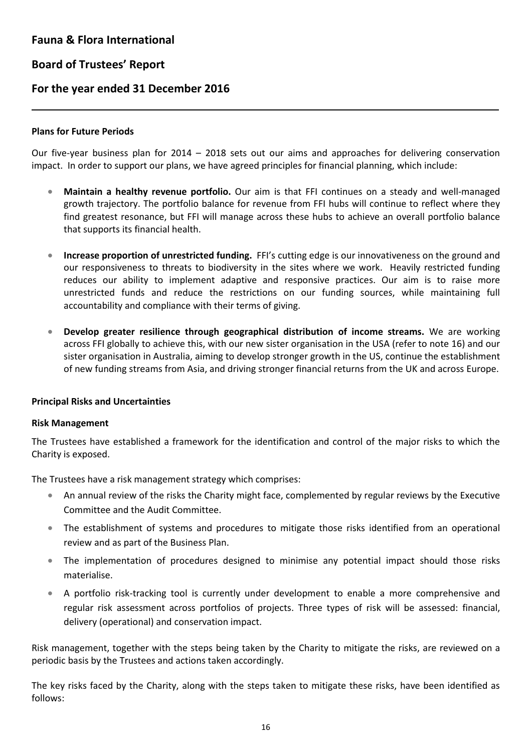# **For the year ended 31 December 2016**

### **Plans for Future Periods**

L

Our five-year business plan for 2014 – 2018 sets out our aims and approaches for delivering conservation impact. In order to support our plans, we have agreed principles for financial planning, which include:

- **Maintain a healthy revenue portfolio.** Our aim is that FFI continues on a steady and well-managed growth trajectory. The portfolio balance for revenue from FFI hubs will continue to reflect where they find greatest resonance, but FFI will manage across these hubs to achieve an overall portfolio balance that supports its financial health.
- **Increase proportion of unrestricted funding.** FFI's cutting edge is our innovativeness on the ground and our responsiveness to threats to biodiversity in the sites where we work. Heavily restricted funding reduces our ability to implement adaptive and responsive practices. Our aim is to raise more unrestricted funds and reduce the restrictions on our funding sources, while maintaining full accountability and compliance with their terms of giving.
- **Develop greater resilience through geographical distribution of income streams.** We are working across FFI globally to achieve this, with our new sister organisation in the USA (refer to note 16) and our sister organisation in Australia, aiming to develop stronger growth in the US, continue the establishment of new funding streams from Asia, and driving stronger financial returns from the UK and across Europe.

### **Principal Risks and Uncertainties**

### **Risk Management**

The Trustees have established a framework for the identification and control of the major risks to which the Charity is exposed.

The Trustees have a risk management strategy which comprises:

- An annual review of the risks the Charity might face, complemented by regular reviews by the Executive Committee and the Audit Committee.
- The establishment of systems and procedures to mitigate those risks identified from an operational review and as part of the Business Plan.
- The implementation of procedures designed to minimise any potential impact should those risks materialise.
- A portfolio risk-tracking tool is currently under development to enable a more comprehensive and regular risk assessment across portfolios of projects. Three types of risk will be assessed: financial, delivery (operational) and conservation impact.

Risk management, together with the steps being taken by the Charity to mitigate the risks, are reviewed on a periodic basis by the Trustees and actions taken accordingly.

The key risks faced by the Charity, along with the steps taken to mitigate these risks, have been identified as follows: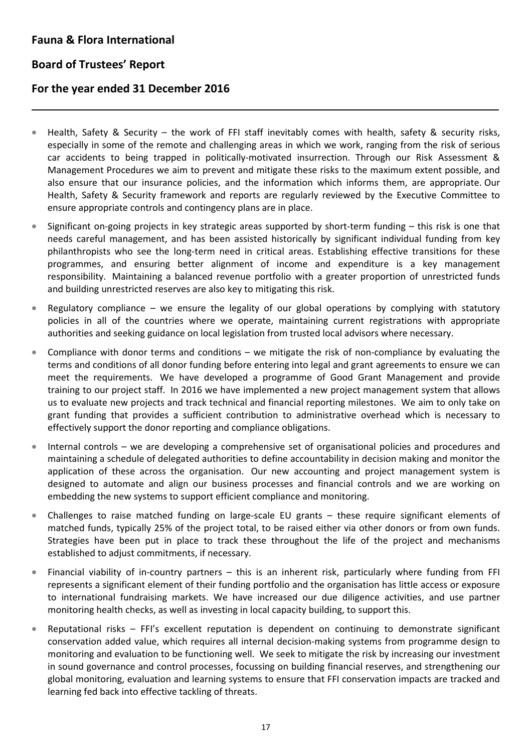# **Board of Trustees' Report**

L

### **For the year ended 31 December 2016**

- Health, Safety & Security the work of FFI staff inevitably comes with health, safety & security risks, especially in some of the remote and challenging areas in which we work, ranging from the risk of serious car accidents to being trapped in politically-motivated insurrection. Through our Risk Assessment & Management Procedures we aim to prevent and mitigate these risks to the maximum extent possible, and also ensure that our insurance policies, and the information which informs them, are appropriate. Our Health, Safety & Security framework and reports are regularly reviewed by the Executive Committee to ensure appropriate controls and contingency plans are in place.
- Significant on-going projects in key strategic areas supported by short-term funding this risk is one that needs careful management, and has been assisted historically by significant individual funding from key philanthropists who see the long-term need in critical areas. Establishing effective transitions for these programmes, and ensuring better alignment of income and expenditure is a key management responsibility. Maintaining a balanced revenue portfolio with a greater proportion of unrestricted funds and building unrestricted reserves are also key to mitigating this risk.
- Regulatory compliance we ensure the legality of our global operations by complying with statutory policies in all of the countries where we operate, maintaining current registrations with appropriate authorities and seeking guidance on local legislation from trusted local advisors where necessary.
- Compliance with donor terms and conditions we mitigate the risk of non-compliance by evaluating the terms and conditions of all donor funding before entering into legal and grant agreements to ensure we can meet the requirements. We have developed a programme of Good Grant Management and provide training to our project staff. In 2016 we have implemented a new project management system that allows us to evaluate new projects and track technical and financial reporting milestones. We aim to only take on grant funding that provides a sufficient contribution to administrative overhead which is necessary to effectively support the donor reporting and compliance obligations.
- Internal controls we are developing a comprehensive set of organisational policies and procedures and maintaining a schedule of delegated authorities to define accountability in decision making and monitor the application of these across the organisation. Our new accounting and project management system is designed to automate and align our business processes and financial controls and we are working on embedding the new systems to support efficient compliance and monitoring.
- Challenges to raise matched funding on large-scale EU grants these require significant elements of matched funds, typically 25% of the project total, to be raised either via other donors or from own funds. Strategies have been put in place to track these throughout the life of the project and mechanisms established to adjust commitments, if necessary.
- Financial viability of in-country partners this is an inherent risk, particularly where funding from FFI represents a significant element of their funding portfolio and the organisation has little access or exposure to international fundraising markets. We have increased our due diligence activities, and use partner monitoring health checks, as well as investing in local capacity building, to support this.
- Reputational risks FFI's excellent reputation is dependent on continuing to demonstrate significant conservation added value, which requires all internal decision-making systems from programme design to monitoring and evaluation to be functioning well. We seek to mitigate the risk by increasing our investment in sound governance and control processes, focussing on building financial reserves, and strengthening our global monitoring, evaluation and learning systems to ensure that FFI conservation impacts are tracked and learning fed back into effective tackling of threats.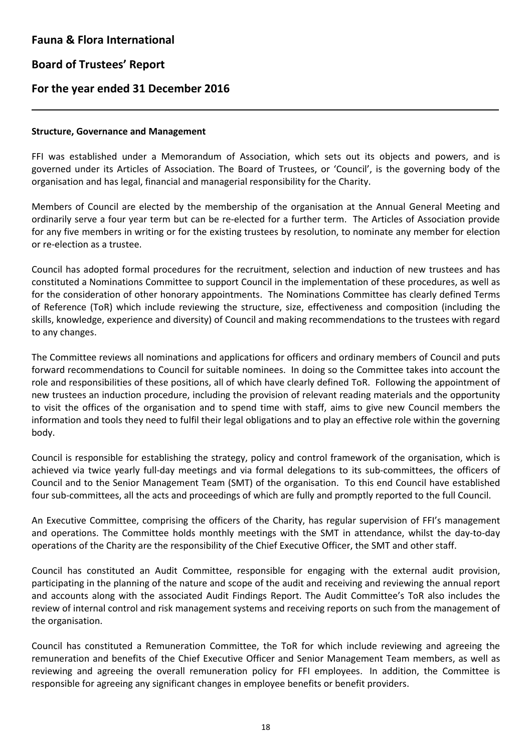L

# **For the year ended 31 December 2016**

### **Structure, Governance and Management**

FFI was established under a Memorandum of Association, which sets out its objects and powers, and is governed under its Articles of Association. The Board of Trustees, or 'Council', is the governing body of the organisation and has legal, financial and managerial responsibility for the Charity.

Members of Council are elected by the membership of the organisation at the Annual General Meeting and ordinarily serve a four year term but can be re-elected for a further term. The Articles of Association provide for any five members in writing or for the existing trustees by resolution, to nominate any member for election or re-election as a trustee.

Council has adopted formal procedures for the recruitment, selection and induction of new trustees and has constituted a Nominations Committee to support Council in the implementation of these procedures, as well as for the consideration of other honorary appointments. The Nominations Committee has clearly defined Terms of Reference (ToR) which include reviewing the structure, size, effectiveness and composition (including the skills, knowledge, experience and diversity) of Council and making recommendations to the trustees with regard to any changes.

The Committee reviews all nominations and applications for officers and ordinary members of Council and puts forward recommendations to Council for suitable nominees. In doing so the Committee takes into account the role and responsibilities of these positions, all of which have clearly defined ToR. Following the appointment of new trustees an induction procedure, including the provision of relevant reading materials and the opportunity to visit the offices of the organisation and to spend time with staff, aims to give new Council members the information and tools they need to fulfil their legal obligations and to play an effective role within the governing body.

Council is responsible for establishing the strategy, policy and control framework of the organisation, which is achieved via twice yearly full-day meetings and via formal delegations to its sub-committees, the officers of Council and to the Senior Management Team (SMT) of the organisation. To this end Council have established four sub-committees, all the acts and proceedings of which are fully and promptly reported to the full Council.

An Executive Committee, comprising the officers of the Charity, has regular supervision of FFI's management and operations. The Committee holds monthly meetings with the SMT in attendance, whilst the day-to-day operations of the Charity are the responsibility of the Chief Executive Officer, the SMT and other staff.

Council has constituted an Audit Committee, responsible for engaging with the external audit provision, participating in the planning of the nature and scope of the audit and receiving and reviewing the annual report and accounts along with the associated Audit Findings Report. The Audit Committee's ToR also includes the review of internal control and risk management systems and receiving reports on such from the management of the organisation.

Council has constituted a Remuneration Committee, the ToR for which include reviewing and agreeing the remuneration and benefits of the Chief Executive Officer and Senior Management Team members, as well as reviewing and agreeing the overall remuneration policy for FFI employees. In addition, the Committee is responsible for agreeing any significant changes in employee benefits or benefit providers.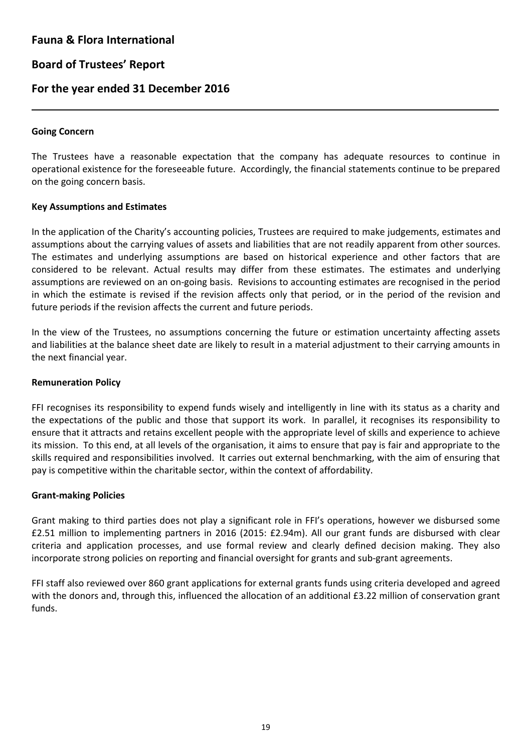# **Board of Trustees' Report**

### **For the year ended 31 December 2016**

### **Going Concern**

L

The Trustees have a reasonable expectation that the company has adequate resources to continue in operational existence for the foreseeable future. Accordingly, the financial statements continue to be prepared on the going concern basis.

### **Key Assumptions and Estimates**

In the application of the Charity's accounting policies, Trustees are required to make judgements, estimates and assumptions about the carrying values of assets and liabilities that are not readily apparent from other sources. The estimates and underlying assumptions are based on historical experience and other factors that are considered to be relevant. Actual results may differ from these estimates. The estimates and underlying assumptions are reviewed on an on-going basis. Revisions to accounting estimates are recognised in the period in which the estimate is revised if the revision affects only that period, or in the period of the revision and future periods if the revision affects the current and future periods.

In the view of the Trustees, no assumptions concerning the future or estimation uncertainty affecting assets and liabilities at the balance sheet date are likely to result in a material adjustment to their carrying amounts in the next financial year.

#### **Remuneration Policy**

FFI recognises its responsibility to expend funds wisely and intelligently in line with its status as a charity and the expectations of the public and those that support its work. In parallel, it recognises its responsibility to ensure that it attracts and retains excellent people with the appropriate level of skills and experience to achieve its mission. To this end, at all levels of the organisation, it aims to ensure that pay is fair and appropriate to the skills required and responsibilities involved. It carries out external benchmarking, with the aim of ensuring that pay is competitive within the charitable sector, within the context of affordability.

### **Grant-making Policies**

Grant making to third parties does not play a significant role in FFI's operations, however we disbursed some £2.51 million to implementing partners in 2016 (2015: £2.94m). All our grant funds are disbursed with clear criteria and application processes, and use formal review and clearly defined decision making. They also incorporate strong policies on reporting and financial oversight for grants and sub-grant agreements.

FFI staff also reviewed over 860 grant applications for external grants funds using criteria developed and agreed with the donors and, through this, influenced the allocation of an additional £3.22 million of conservation grant funds.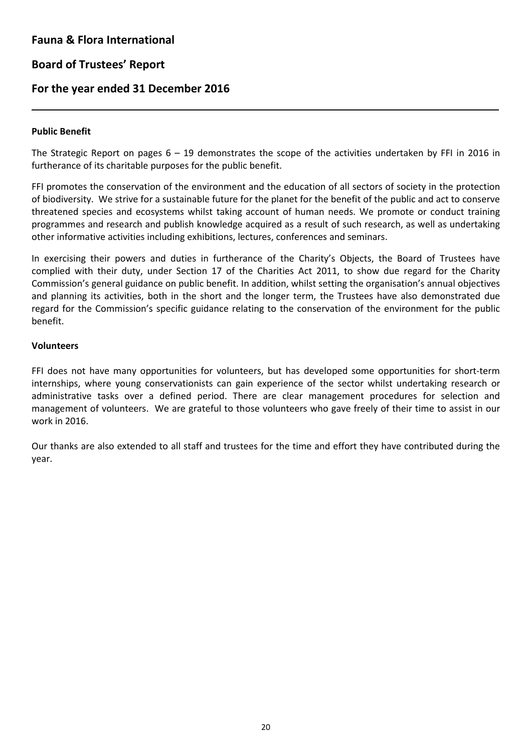# **Board of Trustees' Report**

### **For the year ended 31 December 2016**

### **Public Benefit**

L

The Strategic Report on pages  $6 - 19$  demonstrates the scope of the activities undertaken by FFI in 2016 in furtherance of its charitable purposes for the public benefit.

FFI promotes the conservation of the environment and the education of all sectors of society in the protection of biodiversity. We strive for a sustainable future for the planet for the benefit of the public and act to conserve threatened species and ecosystems whilst taking account of human needs. We promote or conduct training programmes and research and publish knowledge acquired as a result of such research, as well as undertaking other informative activities including exhibitions, lectures, conferences and seminars.

In exercising their powers and duties in furtherance of the Charity's Objects, the Board of Trustees have complied with their duty, under Section 17 of the Charities Act 2011, to show due regard for the Charity Commission's general guidance on public benefit. In addition, whilst setting the organisation's annual objectives and planning its activities, both in the short and the longer term, the Trustees have also demonstrated due regard for the Commission's specific guidance relating to the conservation of the environment for the public benefit.

#### **Volunteers**

FFI does not have many opportunities for volunteers, but has developed some opportunities for short-term internships, where young conservationists can gain experience of the sector whilst undertaking research or administrative tasks over a defined period. There are clear management procedures for selection and management of volunteers. We are grateful to those volunteers who gave freely of their time to assist in our work in 2016.

Our thanks are also extended to all staff and trustees for the time and effort they have contributed during the year.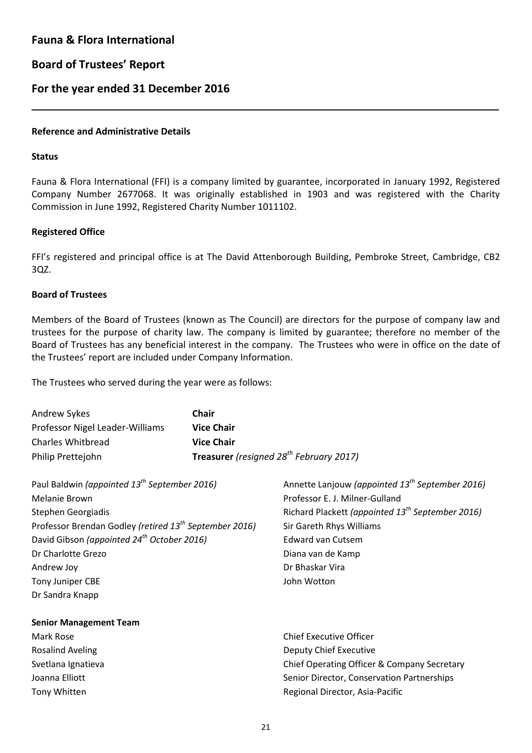# **Board of Trustees' Report**

### **For the year ended 31 December 2016**

### **Reference and Administrative Details**

#### **Status**

L

Fauna & Flora International (FFI) is a company limited by guarantee, incorporated in January 1992, Registered Company Number 2677068. It was originally established in 1903 and was registered with the Charity Commission in June 1992, Registered Charity Number 1011102.

#### **Registered Office**

FFI's registered and principal office is at The David Attenborough Building, Pembroke Street, Cambridge, CB2 3QZ.

### **Board of Trustees**

Members of the Board of Trustees (known as The Council) are directors for the purpose of company law and trustees for the purpose of charity law. The company is limited by guarantee; therefore no member of the Board of Trustees has any beneficial interest in the company. The Trustees who were in office on the date of the Trustees' report are included under Company Information.

The Trustees who served during the year were as follows:

| Andrew Sykes                                                       | Chair                                               |                                                              |  |  |
|--------------------------------------------------------------------|-----------------------------------------------------|--------------------------------------------------------------|--|--|
| Professor Nigel Leader-Williams                                    | <b>Vice Chair</b>                                   |                                                              |  |  |
| <b>Charles Whitbread</b>                                           | <b>Vice Chair</b>                                   |                                                              |  |  |
| Philip Prettejohn                                                  | Treasurer (resigned 28 <sup>th</sup> February 2017) |                                                              |  |  |
| Paul Baldwin (appointed 13 <sup>th</sup> September 2016)           |                                                     | Annette Lanjouw (appointed 13 <sup>th</sup> September 2016)  |  |  |
| <b>Melanie Brown</b>                                               |                                                     | Professor E. J. Milner-Gulland                               |  |  |
| Stephen Georgiadis                                                 |                                                     | Richard Plackett (appointed 13 <sup>th</sup> September 2016) |  |  |
| Professor Brendan Godley (retired 13 <sup>th</sup> September 2016) |                                                     | Sir Gareth Rhys Williams                                     |  |  |
| David Gibson (appointed 24 <sup>th</sup> October 2016)             |                                                     | <b>Edward van Cutsem</b>                                     |  |  |
| Dr Charlotte Grezo                                                 |                                                     | Diana van de Kamp                                            |  |  |
| Andrew Joy                                                         |                                                     | Dr Bhaskar Vira                                              |  |  |
| Tony Juniper CBE                                                   |                                                     | John Wotton                                                  |  |  |
| Dr Sandra Knapp                                                    |                                                     |                                                              |  |  |
| <b>Senior Management Team</b>                                      |                                                     |                                                              |  |  |
| Mark Rose                                                          |                                                     | <b>Chief Executive Officer</b>                               |  |  |
| <b>Rosalind Aveling</b>                                            |                                                     | Deputy Chief Executive                                       |  |  |
| Svetlana Ignatieva                                                 |                                                     | Chief Operating Officer & Company Secretary                  |  |  |
| Joanna Elliott                                                     |                                                     | Senior Director, Conservation Partnerships                   |  |  |
| Tony Whitten                                                       |                                                     | Regional Director, Asia-Pacific                              |  |  |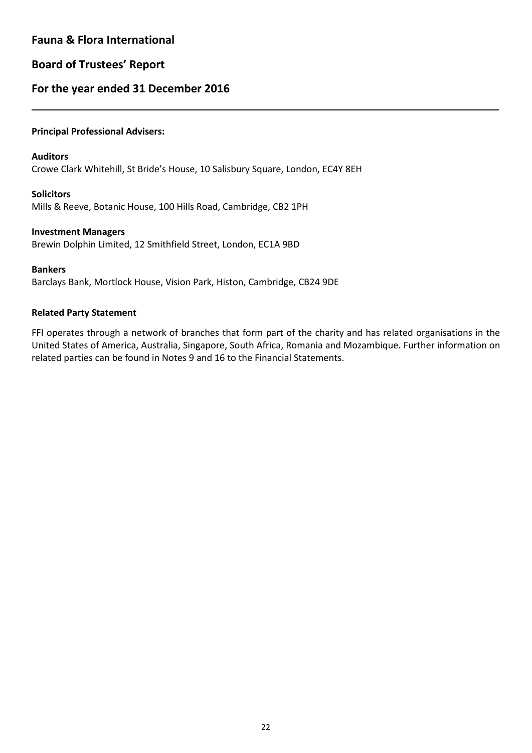# **Board of Trustees' Report**

# **For the year ended 31 December 2016**

### **Principal Professional Advisers:**

#### **Auditors**

L

Crowe Clark Whitehill, St Bride's House, 10 Salisbury Square, London, EC4Y 8EH

### **Solicitors**

Mills & Reeve, Botanic House, 100 Hills Road, Cambridge, CB2 1PH

### **Investment Managers**

Brewin Dolphin Limited, 12 Smithfield Street, London, EC1A 9BD

#### **Bankers**

Barclays Bank, Mortlock House, Vision Park, Histon, Cambridge, CB24 9DE

### **Related Party Statement**

FFI operates through a network of branches that form part of the charity and has related organisations in the United States of America, Australia, Singapore, South Africa, Romania and Mozambique. Further information on related parties can be found in Notes 9 and 16 to the Financial Statements.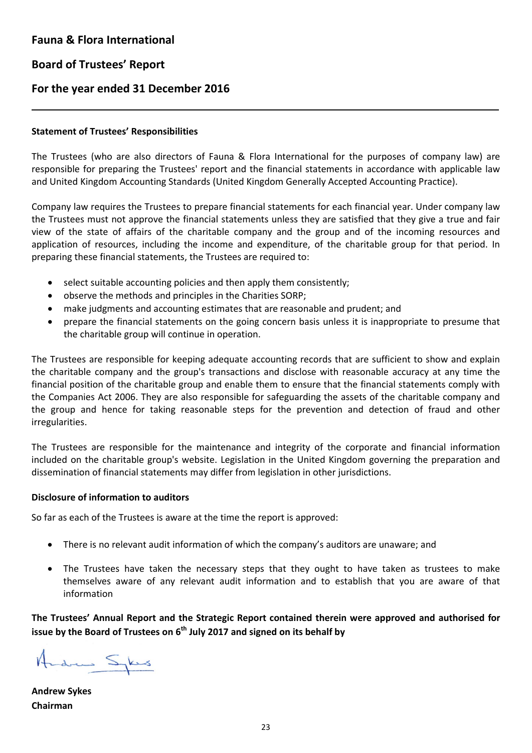L

# **For the year ended 31 December 2016**

### **Statement of Trustees' Responsibilities**

The Trustees (who are also directors of Fauna & Flora International for the purposes of company law) are responsible for preparing the Trustees' report and the financial statements in accordance with applicable law and United Kingdom Accounting Standards (United Kingdom Generally Accepted Accounting Practice).

Company law requires the Trustees to prepare financial statements for each financial year. Under company law the Trustees must not approve the financial statements unless they are satisfied that they give a true and fair view of the state of affairs of the charitable company and the group and of the incoming resources and application of resources, including the income and expenditure, of the charitable group for that period. In preparing these financial statements, the Trustees are required to:

- select suitable accounting policies and then apply them consistently;
- observe the methods and principles in the Charities SORP;
- make judgments and accounting estimates that are reasonable and prudent; and
- prepare the financial statements on the going concern basis unless it is inappropriate to presume that the charitable group will continue in operation.

The Trustees are responsible for keeping adequate accounting records that are sufficient to show and explain the charitable company and the group's transactions and disclose with reasonable accuracy at any time the financial position of the charitable group and enable them to ensure that the financial statements comply with the Companies Act 2006. They are also responsible for safeguarding the assets of the charitable company and the group and hence for taking reasonable steps for the prevention and detection of fraud and other irregularities.

The Trustees are responsible for the maintenance and integrity of the corporate and financial information included on the charitable group's website. Legislation in the United Kingdom governing the preparation and dissemination of financial statements may differ from legislation in other jurisdictions.

### **Disclosure of information to auditors**

So far as each of the Trustees is aware at the time the report is approved:

- There is no relevant audit information of which the company's auditors are unaware; and
- The Trustees have taken the necessary steps that they ought to have taken as trustees to make themselves aware of any relevant audit information and to establish that you are aware of that information

**The Trustees' Annual Report and the Strategic Report contained therein were approved and authorised for issue by the Board of Trustees on 6th July 2017 and signed on its behalf by**

Andrew Spes

**Andrew Sykes Chairman**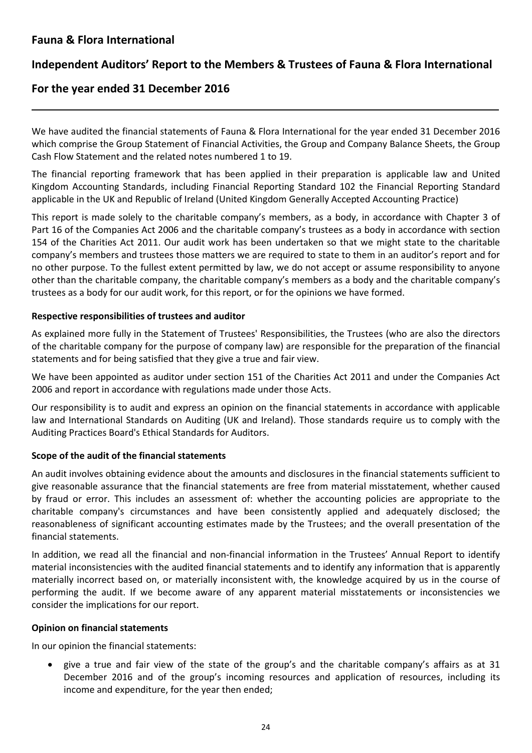L

# **Independent Auditors' Report to the Members & Trustees of Fauna & Flora International**

# **For the year ended 31 December 2016**

We have audited the financial statements of Fauna & Flora International for the year ended 31 December 2016 which comprise the Group Statement of Financial Activities, the Group and Company Balance Sheets, the Group Cash Flow Statement and the related notes numbered 1 to 19.

The financial reporting framework that has been applied in their preparation is applicable law and United Kingdom Accounting Standards, including Financial Reporting Standard 102 the Financial Reporting Standard applicable in the UK and Republic of Ireland (United Kingdom Generally Accepted Accounting Practice)

This report is made solely to the charitable company's members, as a body, in accordance with Chapter 3 of Part 16 of the Companies Act 2006 and the charitable company's trustees as a body in accordance with section 154 of the Charities Act 2011. Our audit work has been undertaken so that we might state to the charitable company's members and trustees those matters we are required to state to them in an auditor's report and for no other purpose. To the fullest extent permitted by law, we do not accept or assume responsibility to anyone other than the charitable company, the charitable company's members as a body and the charitable company's trustees as a body for our audit work, for this report, or for the opinions we have formed.

### **Respective responsibilities of trustees and auditor**

As explained more fully in the Statement of Trustees' Responsibilities, the Trustees (who are also the directors of the charitable company for the purpose of company law) are responsible for the preparation of the financial statements and for being satisfied that they give a true and fair view.

We have been appointed as auditor under section 151 of the Charities Act 2011 and under the Companies Act 2006 and report in accordance with regulations made under those Acts.

Our responsibility is to audit and express an opinion on the financial statements in accordance with applicable law and International Standards on Auditing (UK and Ireland). Those standards require us to comply with the Auditing Practices Board's Ethical Standards for Auditors.

### **Scope of the audit of the financial statements**

An audit involves obtaining evidence about the amounts and disclosures in the financial statements sufficient to give reasonable assurance that the financial statements are free from material misstatement, whether caused by fraud or error. This includes an assessment of: whether the accounting policies are appropriate to the charitable company's circumstances and have been consistently applied and adequately disclosed; the reasonableness of significant accounting estimates made by the Trustees; and the overall presentation of the financial statements.

In addition, we read all the financial and non-financial information in the Trustees' Annual Report to identify material inconsistencies with the audited financial statements and to identify any information that is apparently materially incorrect based on, or materially inconsistent with, the knowledge acquired by us in the course of performing the audit. If we become aware of any apparent material misstatements or inconsistencies we consider the implications for our report.

### **Opinion on financial statements**

In our opinion the financial statements:

• give a true and fair view of the state of the group's and the charitable company's affairs as at 31 December 2016 and of the group's incoming resources and application of resources, including its income and expenditure, for the year then ended;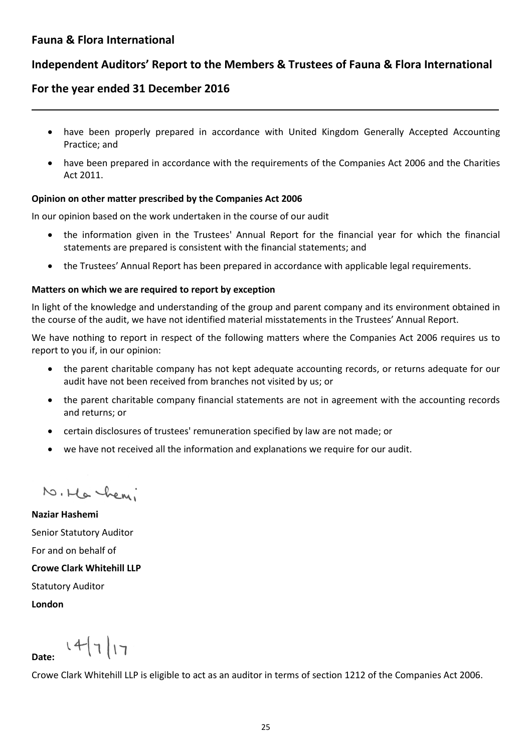L

# **Independent Auditors' Report to the Members & Trustees of Fauna & Flora International**

# **For the year ended 31 December 2016**

- have been properly prepared in accordance with United Kingdom Generally Accepted Accounting Practice; and
- have been prepared in accordance with the requirements of the Companies Act 2006 and the Charities Act 2011.

### **Opinion on other matter prescribed by the Companies Act 2006**

In our opinion based on the work undertaken in the course of our audit

- the information given in the Trustees' Annual Report for the financial year for which the financial statements are prepared is consistent with the financial statements; and
- the Trustees' Annual Report has been prepared in accordance with applicable legal requirements.

### **Matters on which we are required to report by exception**

In light of the knowledge and understanding of the group and parent company and its environment obtained in the course of the audit, we have not identified material misstatements in the Trustees' Annual Report.

We have nothing to report in respect of the following matters where the Companies Act 2006 requires us to report to you if, in our opinion:

- the parent charitable company has not kept adequate accounting records, or returns adequate for our audit have not been received from branches not visited by us; or
- the parent charitable company financial statements are not in agreement with the accounting records and returns; or
- certain disclosures of trustees' remuneration specified by law are not made; or
- we have not received all the information and explanations we require for our audit.

N. Ha hemi

**Naziar Hashemi** Senior Statutory Auditor For and on behalf of **Crowe Clark Whitehill LLP** Statutory Auditor **London**

 $14717$ **Date:** 

Crowe Clark Whitehill LLP is eligible to act as an auditor in terms of section 1212 of the Companies Act 2006.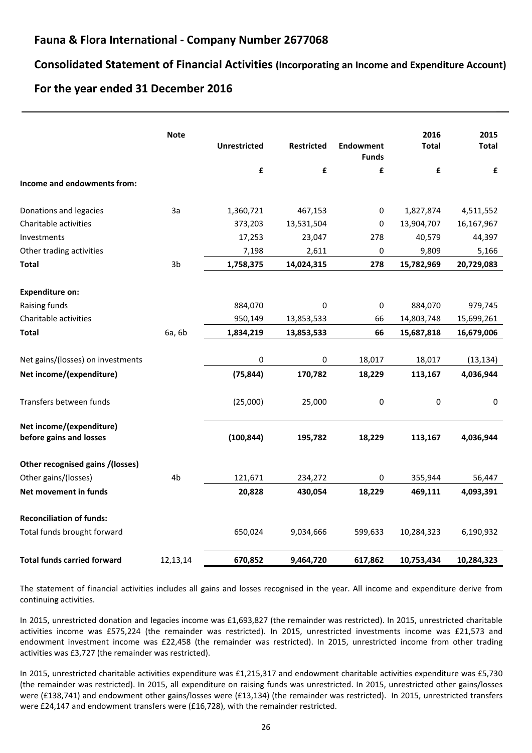### **Fauna & Flora International - Company Number 2677068**

### **Consolidated Statement of Financial Activities (Incorporating an Income and Expenditure Account)**

\_\_

### **For the year ended 31 December 2016**

|                                                     | <b>Note</b>    | <b>Unrestricted</b> | <b>Restricted</b> | <b>Endowment</b><br><b>Funds</b> | 2016<br><b>Total</b> | 2015<br><b>Total</b> |
|-----------------------------------------------------|----------------|---------------------|-------------------|----------------------------------|----------------------|----------------------|
|                                                     |                | $\pmb{\mathsf{f}}$  | £                 | £                                | £                    | £                    |
| Income and endowments from:                         |                |                     |                   |                                  |                      |                      |
| Donations and legacies                              | 3a             | 1,360,721           | 467,153           | 0                                | 1,827,874            | 4,511,552            |
| Charitable activities                               |                | 373,203             | 13,531,504        | 0                                | 13,904,707           | 16,167,967           |
| Investments                                         |                | 17,253              | 23,047            | 278                              | 40,579               | 44,397               |
| Other trading activities                            |                | 7,198               | 2,611             | 0                                | 9,809                | 5,166                |
| <b>Total</b>                                        | 3 <sub>b</sub> | 1,758,375           | 14,024,315        | 278                              | 15,782,969           | 20,729,083           |
| <b>Expenditure on:</b>                              |                |                     |                   |                                  |                      |                      |
| Raising funds                                       |                | 884,070             | 0                 | 0                                | 884,070              | 979,745              |
| Charitable activities                               |                | 950,149             | 13,853,533        | 66                               | 14,803,748           | 15,699,261           |
| <b>Total</b>                                        | 6a, 6b         | 1,834,219           | 13,853,533        | 66                               | 15,687,818           | 16,679,006           |
|                                                     |                |                     |                   |                                  |                      |                      |
| Net gains/(losses) on investments                   |                | 0                   | 0                 | 18,017                           | 18,017               | (13, 134)            |
| Net income/(expenditure)                            |                | (75, 844)           | 170,782           | 18,229                           | 113,167              | 4,036,944            |
| Transfers between funds                             |                | (25,000)            | 25,000            | 0                                | 0                    | $\mathbf 0$          |
| Net income/(expenditure)<br>before gains and losses |                | (100, 844)          | 195,782           | 18,229                           | 113,167              | 4,036,944            |
| Other recognised gains /(losses)                    |                |                     |                   |                                  |                      |                      |
| Other gains/(losses)                                | 4b             | 121,671             | 234,272           | $\pmb{0}$                        | 355,944              | 56,447               |
| Net movement in funds                               |                | 20,828              | 430,054           | 18,229                           | 469,111              | 4,093,391            |
| <b>Reconciliation of funds:</b>                     |                |                     |                   |                                  |                      |                      |
| Total funds brought forward                         |                | 650,024             | 9,034,666         | 599,633                          | 10,284,323           | 6,190,932            |
| <b>Total funds carried forward</b>                  | 12,13,14       | 670,852             | 9,464,720         | 617,862                          | 10,753,434           | 10,284,323           |

The statement of financial activities includes all gains and losses recognised in the year. All income and expenditure derive from continuing activities.

In 2015, unrestricted donation and legacies income was £1,693,827 (the remainder was restricted). In 2015, unrestricted charitable activities income was £575,224 (the remainder was restricted). In 2015, unrestricted investments income was £21,573 and endowment investment income was £22,458 (the remainder was restricted). In 2015, unrestricted income from other trading activities was £3,727 (the remainder was restricted).

In 2015, unrestricted charitable activities expenditure was £1,215,317 and endowment charitable activities expenditure was £5,730 (the remainder was restricted). In 2015, all expenditure on raising funds was unrestricted. In 2015, unrestricted other gains/losses were (£138,741) and endowment other gains/losses were (£13,134) (the remainder was restricted). In 2015, unrestricted transfers were £24,147 and endowment transfers were (£16,728), with the remainder restricted.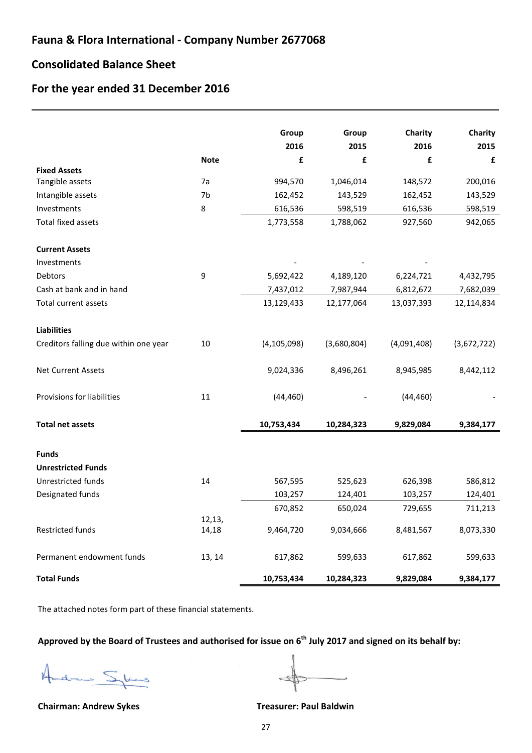### **Consolidated Balance Sheet**

L

# **For the year ended 31 December 2016**

|                                       |             | Group         | Group       | Charity     | Charity     |
|---------------------------------------|-------------|---------------|-------------|-------------|-------------|
|                                       |             | 2016          | 2015        | 2016        | 2015        |
| <b>Fixed Assets</b>                   | <b>Note</b> | £             | £           | £           | £           |
| Tangible assets                       | 7a          | 994,570       | 1,046,014   | 148,572     | 200,016     |
| Intangible assets                     | 7b          | 162,452       | 143,529     | 162,452     | 143,529     |
| Investments                           | 8           | 616,536       | 598,519     | 616,536     | 598,519     |
| <b>Total fixed assets</b>             |             | 1,773,558     | 1,788,062   | 927,560     | 942,065     |
| <b>Current Assets</b>                 |             |               |             |             |             |
| Investments                           |             |               |             |             |             |
| Debtors                               | 9           | 5,692,422     | 4,189,120   | 6,224,721   | 4,432,795   |
| Cash at bank and in hand              |             | 7,437,012     | 7,987,944   | 6,812,672   | 7,682,039   |
| Total current assets                  |             | 13,129,433    | 12,177,064  | 13,037,393  | 12,114,834  |
| <b>Liabilities</b>                    |             |               |             |             |             |
| Creditors falling due within one year | 10          | (4, 105, 098) | (3,680,804) | (4,091,408) | (3,672,722) |
| <b>Net Current Assets</b>             |             | 9,024,336     | 8,496,261   | 8,945,985   | 8,442,112   |
| Provisions for liabilities            | 11          | (44, 460)     |             | (44, 460)   |             |
| <b>Total net assets</b>               |             | 10,753,434    | 10,284,323  | 9,829,084   | 9,384,177   |
| <b>Funds</b>                          |             |               |             |             |             |
| <b>Unrestricted Funds</b>             |             |               |             |             |             |
| Unrestricted funds                    | 14          | 567,595       | 525,623     | 626,398     | 586,812     |
| Designated funds                      |             | 103,257       | 124,401     | 103,257     | 124,401     |
|                                       |             | 670,852       | 650,024     | 729,655     | 711,213     |
|                                       | 12,13,      |               |             |             |             |
| Restricted funds                      | 14,18       | 9,464,720     | 9,034,666   | 8,481,567   | 8,073,330   |
| Permanent endowment funds             | 13, 14      | 617,862       | 599,633     | 617,862     | 599,633     |
| <b>Total Funds</b>                    |             | 10,753,434    | 10,284,323  | 9,829,084   | 9,384,177   |

The attached notes form part of these financial statements.

# **Approved by the Board of Trustees and authorised for issue on 6th July 2017 and signed on its behalf by:**

dres Skad  $\sqrt{2}$ 

**Chairman: Andrew Sykes Treasurer: Paul Baldwin**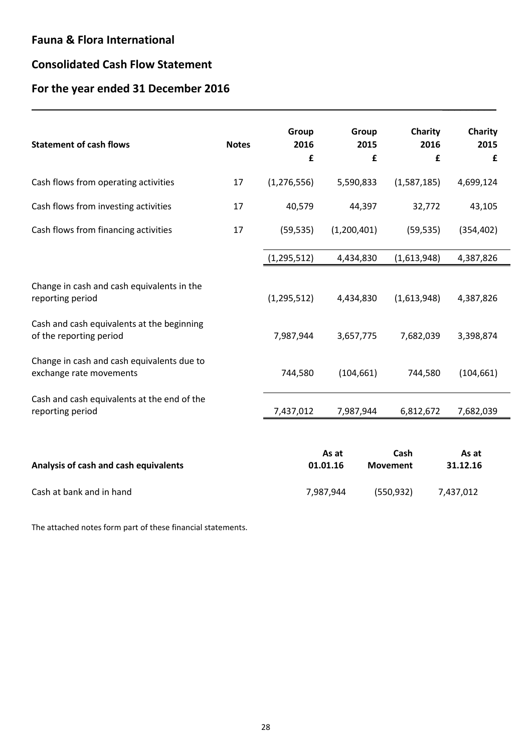# **Consolidated Cash Flow Statement**

# **For the year ended 31 December 2016**

| <b>Statement of cash flows</b>                                        | <b>Notes</b> | Group<br>2016<br>£ | Group<br>2015<br>£ | Charity<br>2016<br>£    | Charity<br>2015<br>£ |
|-----------------------------------------------------------------------|--------------|--------------------|--------------------|-------------------------|----------------------|
| Cash flows from operating activities                                  | 17           | (1, 276, 556)      | 5,590,833          | (1,587,185)             | 4,699,124            |
| Cash flows from investing activities                                  | 17           | 40,579             | 44,397             | 32,772                  | 43,105               |
| Cash flows from financing activities                                  | 17           | (59, 535)          | (1,200,401)        | (59, 535)               | (354, 402)           |
|                                                                       |              | (1, 295, 512)      | 4,434,830          | (1,613,948)             | 4,387,826            |
| Change in cash and cash equivalents in the<br>reporting period        |              | (1, 295, 512)      | 4,434,830          | (1,613,948)             | 4,387,826            |
| Cash and cash equivalents at the beginning<br>of the reporting period |              | 7,987,944          | 3,657,775          | 7,682,039               | 3,398,874            |
| Change in cash and cash equivalents due to<br>exchange rate movements |              | 744,580            | (104, 661)         | 744,580                 | (104, 661)           |
| Cash and cash equivalents at the end of the<br>reporting period       |              | 7,437,012          | 7,987,944          | 6,812,672               | 7,682,039            |
| Analysis of cash and cash equivalents                                 |              |                    | As at<br>01.01.16  | Cash<br><b>Movement</b> | As at<br>31.12.16    |
| Cash at bank and in hand                                              |              |                    | 7,987,944          | (550, 932)              | 7,437,012            |

\_\_\_\_\_\_\_\_\_

The attached notes form part of these financial statements.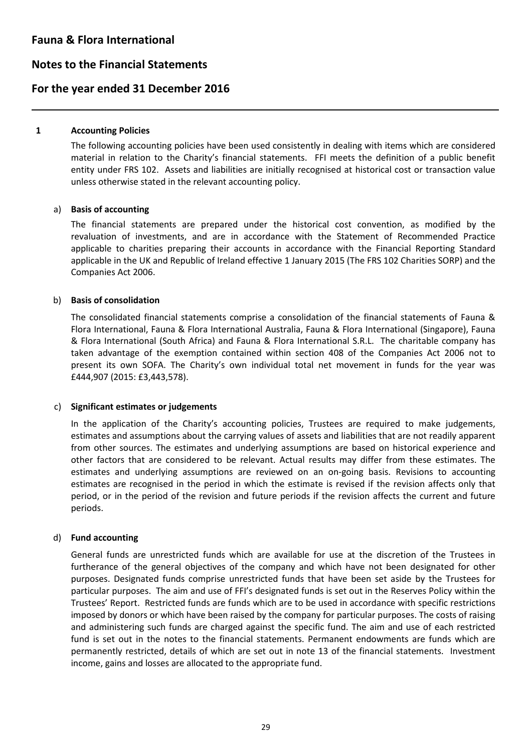# **Notes to the Financial Statements**

### **For the year ended 31 December 2016**

#### **1 Accounting Policies**

L

The following accounting policies have been used consistently in dealing with items which are considered material in relation to the Charity's financial statements. FFI meets the definition of a public benefit entity under FRS 102. Assets and liabilities are initially recognised at historical cost or transaction value unless otherwise stated in the relevant accounting policy.

#### a) **Basis of accounting**

The financial statements are prepared under the historical cost convention, as modified by the revaluation of investments, and are in accordance with the Statement of Recommended Practice applicable to charities preparing their accounts in accordance with the Financial Reporting Standard applicable in the UK and Republic of Ireland effective 1 January 2015 (The FRS 102 Charities SORP) and the Companies Act 2006.

#### b) **Basis of consolidation**

The consolidated financial statements comprise a consolidation of the financial statements of Fauna & Flora International, Fauna & Flora International Australia, Fauna & Flora International (Singapore), Fauna & Flora International (South Africa) and Fauna & Flora International S.R.L. The charitable company has taken advantage of the exemption contained within section 408 of the Companies Act 2006 not to present its own SOFA. The Charity's own individual total net movement in funds for the year was £444,907 (2015: £3,443,578).

#### c) **Significant estimates or judgements**

In the application of the Charity's accounting policies, Trustees are required to make judgements, estimates and assumptions about the carrying values of assets and liabilities that are not readily apparent from other sources. The estimates and underlying assumptions are based on historical experience and other factors that are considered to be relevant. Actual results may differ from these estimates. The estimates and underlying assumptions are reviewed on an on-going basis. Revisions to accounting estimates are recognised in the period in which the estimate is revised if the revision affects only that period, or in the period of the revision and future periods if the revision affects the current and future periods.

### d) **Fund accounting**

General funds are unrestricted funds which are available for use at the discretion of the Trustees in furtherance of the general objectives of the company and which have not been designated for other purposes. Designated funds comprise unrestricted funds that have been set aside by the Trustees for particular purposes. The aim and use of FFI's designated funds is set out in the Reserves Policy within the Trustees' Report. Restricted funds are funds which are to be used in accordance with specific restrictions imposed by donors or which have been raised by the company for particular purposes. The costs of raising and administering such funds are charged against the specific fund. The aim and use of each restricted fund is set out in the notes to the financial statements. Permanent endowments are funds which are permanently restricted, details of which are set out in note 13 of the financial statements. Investment income, gains and losses are allocated to the appropriate fund.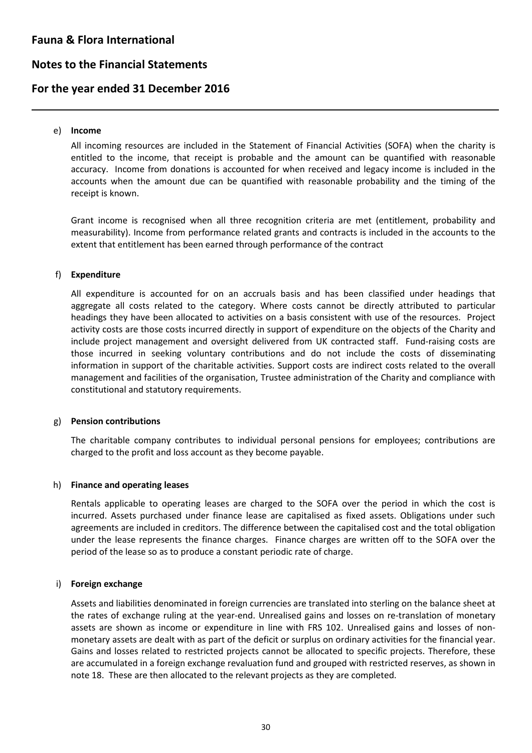# **Notes to the Financial Statements**

# **For the year ended 31 December 2016**

#### e) **Income**

L

All incoming resources are included in the Statement of Financial Activities (SOFA) when the charity is entitled to the income, that receipt is probable and the amount can be quantified with reasonable accuracy. Income from donations is accounted for when received and legacy income is included in the accounts when the amount due can be quantified with reasonable probability and the timing of the receipt is known.

Grant income is recognised when all three recognition criteria are met (entitlement, probability and measurability). Income from performance related grants and contracts is included in the accounts to the extent that entitlement has been earned through performance of the contract

#### f) **Expenditure**

All expenditure is accounted for on an accruals basis and has been classified under headings that aggregate all costs related to the category. Where costs cannot be directly attributed to particular headings they have been allocated to activities on a basis consistent with use of the resources. Project activity costs are those costs incurred directly in support of expenditure on the objects of the Charity and include project management and oversight delivered from UK contracted staff. Fund-raising costs are those incurred in seeking voluntary contributions and do not include the costs of disseminating information in support of the charitable activities. Support costs are indirect costs related to the overall management and facilities of the organisation, Trustee administration of the Charity and compliance with constitutional and statutory requirements.

#### g) **Pension contributions**

The charitable company contributes to individual personal pensions for employees; contributions are charged to the profit and loss account as they become payable.

#### h) **Finance and operating leases**

Rentals applicable to operating leases are charged to the SOFA over the period in which the cost is incurred. Assets purchased under finance lease are capitalised as fixed assets. Obligations under such agreements are included in creditors. The difference between the capitalised cost and the total obligation under the lease represents the finance charges. Finance charges are written off to the SOFA over the period of the lease so as to produce a constant periodic rate of charge.

### i) **Foreign exchange**

Assets and liabilities denominated in foreign currencies are translated into sterling on the balance sheet at the rates of exchange ruling at the year-end. Unrealised gains and losses on re-translation of monetary assets are shown as income or expenditure in line with FRS 102. Unrealised gains and losses of nonmonetary assets are dealt with as part of the deficit or surplus on ordinary activities for the financial year. Gains and losses related to restricted projects cannot be allocated to specific projects. Therefore, these are accumulated in a foreign exchange revaluation fund and grouped with restricted reserves, as shown in note 18. These are then allocated to the relevant projects as they are completed.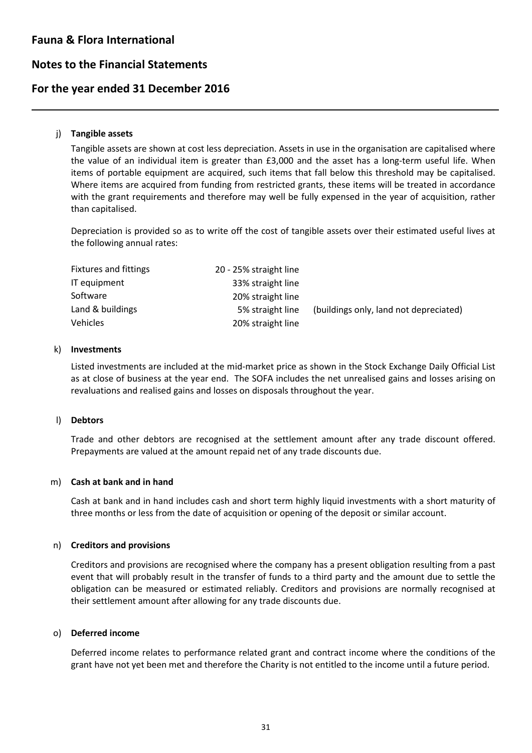## **Notes to the Financial Statements**

### **For the year ended 31 December 2016**

#### j) **Tangible assets**

L

Tangible assets are shown at cost less depreciation. Assets in use in the organisation are capitalised where the value of an individual item is greater than £3,000 and the asset has a long-term useful life. When items of portable equipment are acquired, such items that fall below this threshold may be capitalised. Where items are acquired from funding from restricted grants, these items will be treated in accordance with the grant requirements and therefore may well be fully expensed in the year of acquisition, rather than capitalised.

Depreciation is provided so as to write off the cost of tangible assets over their estimated useful lives at the following annual rates:

| <b>Fixtures and fittings</b> | 20 - 25% straight line |                                        |
|------------------------------|------------------------|----------------------------------------|
| IT equipment                 | 33% straight line      |                                        |
| Software                     | 20% straight line      |                                        |
| Land & buildings             | 5% straight line       | (buildings only, land not depreciated) |
| <b>Vehicles</b>              | 20% straight line      |                                        |

#### k) **Investments**

Listed investments are included at the mid-market price as shown in the Stock Exchange Daily Official List as at close of business at the year end. The SOFA includes the net unrealised gains and losses arising on revaluations and realised gains and losses on disposals throughout the year.

#### l) **Debtors**

Trade and other debtors are recognised at the settlement amount after any trade discount offered. Prepayments are valued at the amount repaid net of any trade discounts due.

#### m) **Cash at bank and in hand**

Cash at bank and in hand includes cash and short term highly liquid investments with a short maturity of three months or less from the date of acquisition or opening of the deposit or similar account.

#### n) **Creditors and provisions**

Creditors and provisions are recognised where the company has a present obligation resulting from a past event that will probably result in the transfer of funds to a third party and the amount due to settle the obligation can be measured or estimated reliably. Creditors and provisions are normally recognised at their settlement amount after allowing for any trade discounts due.

#### o) **Deferred income**

Deferred income relates to performance related grant and contract income where the conditions of the grant have not yet been met and therefore the Charity is not entitled to the income until a future period.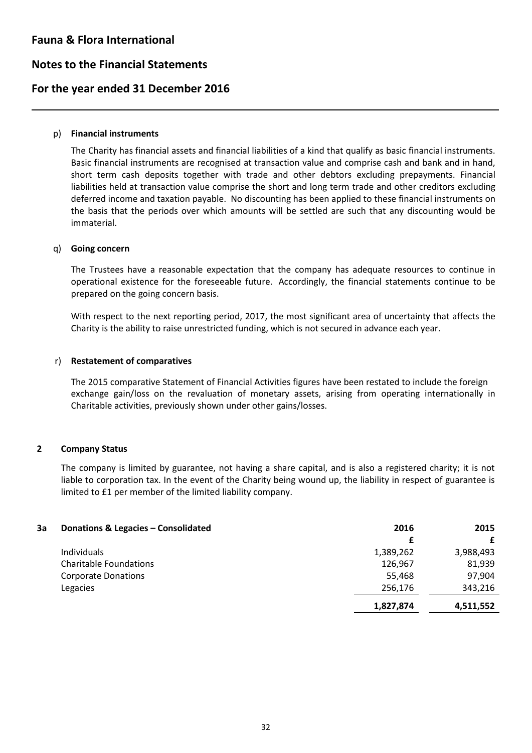# **Notes to the Financial Statements**

# **For the year ended 31 December 2016**

#### p) **Financial instruments**

L

The Charity has financial assets and financial liabilities of a kind that qualify as basic financial instruments. Basic financial instruments are recognised at transaction value and comprise cash and bank and in hand, short term cash deposits together with trade and other debtors excluding prepayments. Financial liabilities held at transaction value comprise the short and long term trade and other creditors excluding deferred income and taxation payable. No discounting has been applied to these financial instruments on the basis that the periods over which amounts will be settled are such that any discounting would be immaterial.

#### q) **Going concern**

The Trustees have a reasonable expectation that the company has adequate resources to continue in operational existence for the foreseeable future. Accordingly, the financial statements continue to be prepared on the going concern basis.

With respect to the next reporting period, 2017, the most significant area of uncertainty that affects the Charity is the ability to raise unrestricted funding, which is not secured in advance each year.

#### r) **Restatement of comparatives**

The 2015 comparative Statement of Financial Activities figures have been restated to include the foreign exchange gain/loss on the revaluation of monetary assets, arising from operating internationally in Charitable activities, previously shown under other gains/losses.

### **2 Company Status**

The company is limited by guarantee, not having a share capital, and is also a registered charity; it is not liable to corporation tax. In the event of the Charity being wound up, the liability in respect of guarantee is limited to £1 per member of the limited liability company.

| 3a | Donations & Legacies - Consolidated | 2016      | 2015      |
|----|-------------------------------------|-----------|-----------|
|    |                                     |           |           |
|    | Individuals                         | 1,389,262 | 3,988,493 |
|    | <b>Charitable Foundations</b>       | 126,967   | 81,939    |
|    | <b>Corporate Donations</b>          | 55,468    | 97,904    |
|    | Legacies                            | 256,176   | 343,216   |
|    |                                     | 1,827,874 | 4,511,552 |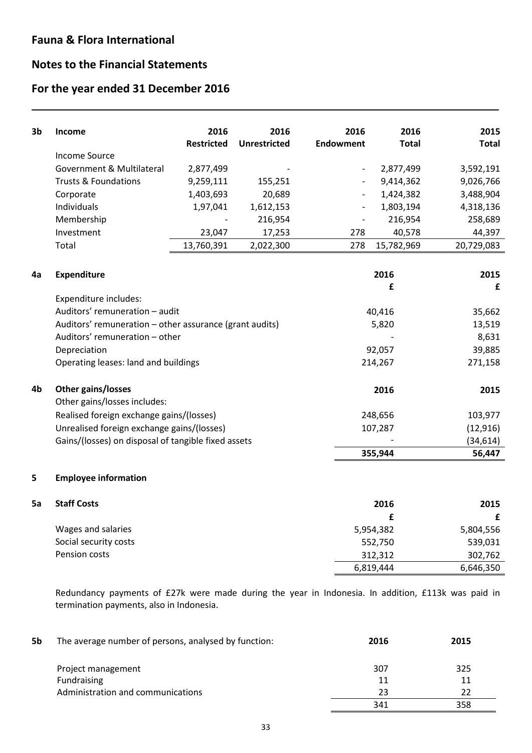L

# **Notes to the Financial Statements**

# **For the year ended 31 December 2016**

| 3b | Income                                                  | 2016              | 2016                | 2016                         | 2016         | 2015         |
|----|---------------------------------------------------------|-------------------|---------------------|------------------------------|--------------|--------------|
|    |                                                         | <b>Restricted</b> | <b>Unrestricted</b> | <b>Endowment</b>             | <b>Total</b> | <b>Total</b> |
|    | <b>Income Source</b>                                    |                   |                     |                              |              |              |
|    | Government & Multilateral                               | 2,877,499         |                     | $\overline{\phantom{a}}$     | 2,877,499    | 3,592,191    |
|    | <b>Trusts &amp; Foundations</b>                         | 9,259,111         | 155,251             |                              | 9,414,362    | 9,026,766    |
|    | Corporate                                               | 1,403,693         | 20,689              | $\overline{\phantom{a}}$     | 1,424,382    | 3,488,904    |
|    | Individuals                                             | 1,97,041          | 1,612,153           | $\overline{\phantom{a}}$     | 1,803,194    | 4,318,136    |
|    | Membership                                              |                   | 216,954             | $\qquad \qquad \blacksquare$ | 216,954      | 258,689      |
|    | Investment                                              | 23,047            | 17,253              | 278                          | 40,578       | 44,397       |
|    | Total                                                   | 13,760,391        | 2,022,300           | 278                          | 15,782,969   | 20,729,083   |
|    |                                                         |                   |                     |                              |              |              |
| 4a | Expenditure                                             |                   |                     |                              | 2016         | 2015         |
|    |                                                         |                   |                     |                              | £            | £            |
|    | Expenditure includes:                                   |                   |                     |                              |              |              |
|    | Auditors' remuneration - audit                          |                   |                     |                              | 40,416       | 35,662       |
|    | Auditors' remuneration - other assurance (grant audits) |                   |                     |                              | 5,820        | 13,519       |
|    | Auditors' remuneration - other                          |                   |                     |                              | 8,631        |              |
|    | Depreciation                                            |                   |                     |                              | 92,057       | 39,885       |
|    | Operating leases: land and buildings                    |                   |                     |                              | 214,267      | 271,158      |
| 4b | Other gains/losses                                      |                   |                     |                              | 2016         | 2015         |
|    | Other gains/losses includes:                            |                   |                     |                              |              |              |
|    | Realised foreign exchange gains/(losses)                |                   |                     | 248,656                      |              | 103,977      |
|    | Unrealised foreign exchange gains/(losses)              |                   |                     |                              | 107,287      | (12, 916)    |
|    | Gains/(losses) on disposal of tangible fixed assets     |                   |                     |                              |              | (34, 614)    |
|    |                                                         |                   |                     |                              | 355,944      | 56,447       |
| 5  | <b>Employee information</b>                             |                   |                     |                              |              |              |
| 5a | <b>Staff Costs</b>                                      |                   |                     |                              | 2016         | 2015         |
|    |                                                         |                   |                     |                              | £            | £            |
|    | Wages and salaries                                      |                   |                     | 5,954,382                    |              | 5,804,556    |
|    | Social security costs                                   |                   |                     |                              | 552,750      | 539,031      |
|    | Pension costs                                           |                   |                     |                              | 312,312      | 302,762      |

Redundancy payments of £27k were made during the year in Indonesia. In addition, £113k was paid in termination payments, also in Indonesia.

6,819,444 6,646,350

| 5b | The average number of persons, analysed by function: | 2016 | 2015 |
|----|------------------------------------------------------|------|------|
|    | Project management                                   | 307  | 325  |
|    | Fundraising                                          | 11   | 11   |
|    | Administration and communications                    | 23   | 22   |
|    |                                                      | 341  | 358  |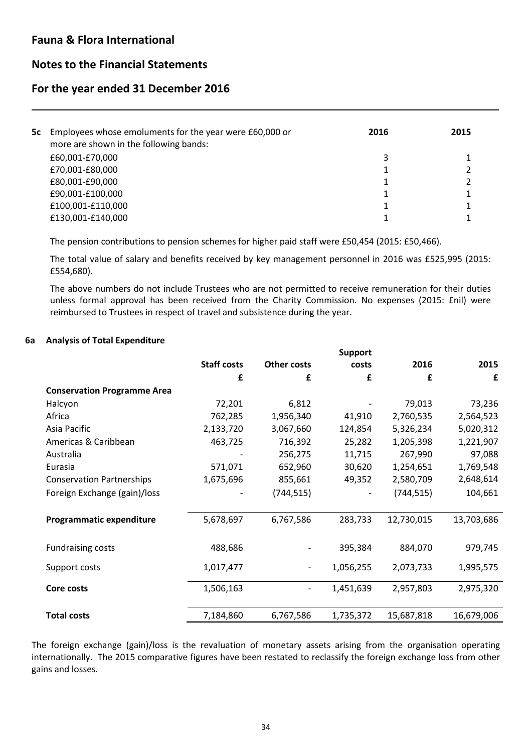L

### **Notes to the Financial Statements**

### **For the year ended 31 December 2016**

| 5c Employees whose emoluments for the year were £60,000 or<br>more are shown in the following bands: | 2016         | 2015 |
|------------------------------------------------------------------------------------------------------|--------------|------|
| £60,001-£70,000                                                                                      | $\mathbf{a}$ |      |
| £70,001-£80,000                                                                                      |              |      |
| £80,001-£90,000                                                                                      |              |      |
| £90,001-£100,000                                                                                     |              |      |
| £100,001-£110,000                                                                                    |              |      |
| £130,001-£140,000                                                                                    |              |      |
|                                                                                                      |              |      |

The pension contributions to pension schemes for higher paid staff were £50,454 (2015: £50,466).

The total value of salary and benefits received by key management personnel in 2016 was £525,995 (2015: £554,680).

The above numbers do not include Trustees who are not permitted to receive remuneration for their duties unless formal approval has been received from the Charity Commission. No expenses (2015: £nil) were reimbursed to Trustees in respect of travel and subsistence during the year.

#### **6a Analysis of Total Expenditure**

|                                    |                    |             | <b>Support</b> |            |            |
|------------------------------------|--------------------|-------------|----------------|------------|------------|
|                                    | <b>Staff costs</b> | Other costs | costs          | 2016       | 2015       |
|                                    | £                  | £           | £              | £          | £          |
| <b>Conservation Programme Area</b> |                    |             |                |            |            |
| Halcyon                            | 72,201             | 6,812       |                | 79,013     | 73,236     |
| Africa                             | 762,285            | 1,956,340   | 41,910         | 2,760,535  | 2,564,523  |
| Asia Pacific                       | 2,133,720          | 3,067,660   | 124,854        | 5,326,234  | 5,020,312  |
| Americas & Caribbean               | 463,725            | 716,392     | 25,282         | 1,205,398  | 1,221,907  |
| Australia                          |                    | 256,275     | 11,715         | 267,990    | 97,088     |
| Eurasia                            | 571,071            | 652,960     | 30,620         | 1,254,651  | 1,769,548  |
| <b>Conservation Partnerships</b>   | 1,675,696          | 855,661     | 49,352         | 2,580,709  | 2,648,614  |
| Foreign Exchange (gain)/loss       |                    | (744, 515)  |                | (744, 515) | 104,661    |
|                                    |                    |             |                |            |            |
| Programmatic expenditure           | 5,678,697          | 6,767,586   | 283,733        | 12,730,015 | 13,703,686 |
|                                    |                    |             |                |            |            |
| <b>Fundraising costs</b>           | 488,686            |             | 395,384        | 884,070    | 979,745    |
| Support costs                      | 1,017,477          |             | 1,056,255      | 2,073,733  | 1,995,575  |
| Core costs                         | 1,506,163          |             | 1,451,639      | 2,957,803  | 2,975,320  |
|                                    |                    |             |                |            |            |
| <b>Total costs</b>                 | 7,184,860          | 6,767,586   | 1,735,372      | 15,687,818 | 16,679,006 |

The foreign exchange (gain)/loss is the revaluation of monetary assets arising from the organisation operating internationally. The 2015 comparative figures have been restated to reclassify the foreign exchange loss from other gains and losses.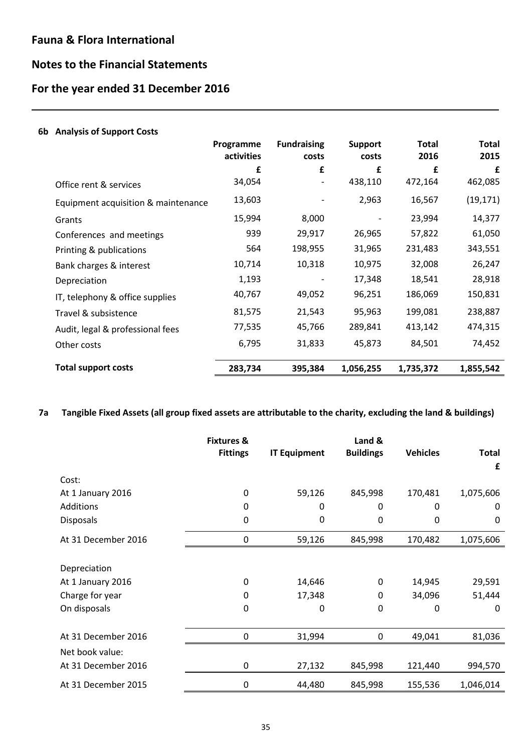L

# **Notes to the Financial Statements**

# **For the year ended 31 December 2016**

| 6b Analysis of Support Costs        |                         |                             |                         |                      |                      |
|-------------------------------------|-------------------------|-----------------------------|-------------------------|----------------------|----------------------|
|                                     | Programme<br>activities | <b>Fundraising</b><br>costs | <b>Support</b><br>costs | <b>Total</b><br>2016 | <b>Total</b><br>2015 |
|                                     | £                       | £                           | £                       | £                    | £                    |
| Office rent & services              | 34,054                  |                             | 438,110                 | 472,164              | 462,085              |
| Equipment acquisition & maintenance | 13,603                  |                             | 2,963                   | 16,567               | (19, 171)            |
| Grants                              | 15,994                  | 8,000                       |                         | 23,994               | 14,377               |
| Conferences and meetings            | 939                     | 29,917                      | 26,965                  | 57,822               | 61,050               |
| Printing & publications             | 564                     | 198,955                     | 31,965                  | 231,483              | 343,551              |
| Bank charges & interest             | 10,714                  | 10,318                      | 10,975                  | 32,008               | 26,247               |
| Depreciation                        | 1,193                   |                             | 17,348                  | 18,541               | 28,918               |
| IT, telephony & office supplies     | 40,767                  | 49,052                      | 96,251                  | 186,069              | 150,831              |
| Travel & subsistence                | 81,575                  | 21,543                      | 95,963                  | 199,081              | 238,887              |
| Audit, legal & professional fees    | 77,535                  | 45,766                      | 289,841                 | 413,142              | 474,315              |
| Other costs                         | 6,795                   | 31,833                      | 45,873                  | 84,501               | 74,452               |
| <b>Total support costs</b>          | 283,734                 | 395,384                     | 1,056,255               | 1,735,372            | 1,855,542            |

**7a Tangible Fixed Assets (all group fixed assets are attributable to the charity, excluding the land & buildings)**

|                     | <b>Fixtures &amp;</b> |                     | Land &           |                 |              |
|---------------------|-----------------------|---------------------|------------------|-----------------|--------------|
|                     | <b>Fittings</b>       | <b>IT Equipment</b> | <b>Buildings</b> | <b>Vehicles</b> | <b>Total</b> |
|                     |                       |                     |                  |                 | £            |
| Cost:               |                       |                     |                  |                 |              |
| At 1 January 2016   | 0                     | 59,126              | 845,998          | 170,481         | 1,075,606    |
| <b>Additions</b>    | 0                     | 0                   | 0                | 0               | $\Omega$     |
| <b>Disposals</b>    | $\Omega$              | 0                   | 0                | 0               | 0            |
| At 31 December 2016 | 0                     | 59,126              | 845,998          | 170,482         | 1,075,606    |
|                     |                       |                     |                  |                 |              |
| Depreciation        |                       |                     |                  |                 |              |
| At 1 January 2016   | 0                     | 14,646              | 0                | 14,945          | 29,591       |
| Charge for year     | 0                     | 17,348              | 0                | 34,096          | 51,444       |
| On disposals        | $\Omega$              | 0                   | 0                | 0               | $\Omega$     |
|                     |                       |                     |                  |                 |              |
| At 31 December 2016 | 0                     | 31,994              | 0                | 49,041          | 81,036       |
| Net book value:     |                       |                     |                  |                 |              |
| At 31 December 2016 | 0                     | 27,132              | 845,998          | 121,440         | 994,570      |
| At 31 December 2015 | $\boldsymbol{0}$      | 44,480              | 845,998          | 155,536         | 1,046,014    |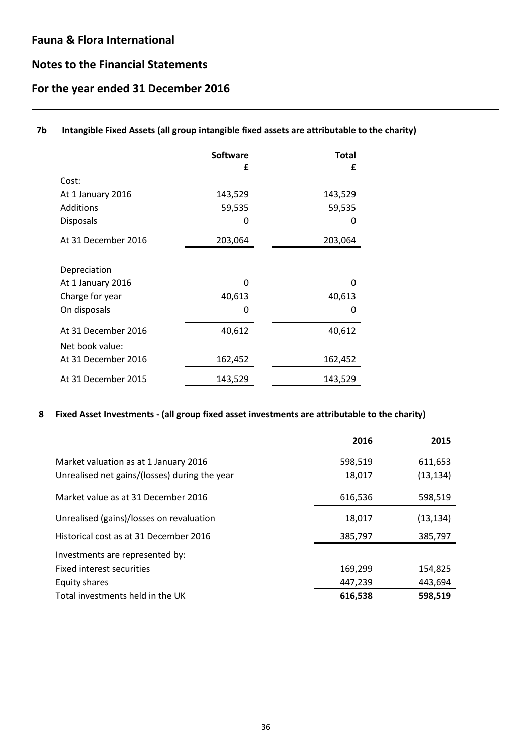L

# **Notes to the Financial Statements**

# **For the year ended 31 December 2016**

### **7b Intangible Fixed Assets (all group intangible fixed assets are attributable to the charity)**

|                     | <b>Software</b><br>£ | <b>Total</b><br>£ |
|---------------------|----------------------|-------------------|
| Cost:               |                      |                   |
| At 1 January 2016   | 143,529              | 143,529           |
| Additions           | 59,535               | 59,535            |
| <b>Disposals</b>    | 0                    | 0                 |
| At 31 December 2016 | 203,064              | 203,064           |
| Depreciation        |                      |                   |
| At 1 January 2016   | O                    | ŋ                 |
| Charge for year     | 40,613               | 40,613            |
| On disposals        | 0                    | 0                 |
| At 31 December 2016 | 40,612               | 40,612            |
| Net book value:     |                      |                   |
| At 31 December 2016 | 162,452              | 162,452           |
| At 31 December 2015 | 143,529              | 143,529           |

### **8 Fixed Asset Investments - (all group fixed asset investments are attributable to the charity)**

|                                               | 2016    | 2015      |
|-----------------------------------------------|---------|-----------|
| Market valuation as at 1 January 2016         | 598,519 | 611,653   |
| Unrealised net gains/(losses) during the year | 18,017  | (13, 134) |
| Market value as at 31 December 2016           | 616,536 | 598,519   |
| Unrealised (gains)/losses on revaluation      | 18,017  | (13, 134) |
| Historical cost as at 31 December 2016        | 385,797 | 385,797   |
| Investments are represented by:               |         |           |
| Fixed interest securities                     | 169,299 | 154,825   |
| Equity shares                                 | 447,239 | 443,694   |
| Total investments held in the UK              | 616,538 | 598,519   |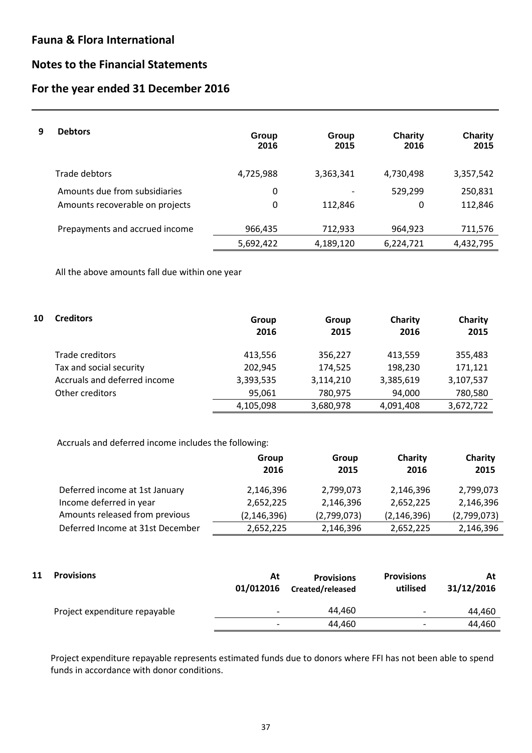L

## **Notes to the Financial Statements**

# **For the year ended 31 December 2016**

| 9 | <b>Debtors</b>                  | Group<br>2016 | Group<br>2015 | Charity<br>2016 | <b>Charity</b><br>2015 |
|---|---------------------------------|---------------|---------------|-----------------|------------------------|
|   | Trade debtors                   | 4,725,988     | 3,363,341     | 4,730,498       | 3,357,542              |
|   | Amounts due from subsidiaries   | 0             |               | 529,299         | 250,831                |
|   | Amounts recoverable on projects | 0             | 112.846       | 0               | 112,846                |
|   | Prepayments and accrued income  | 966,435       | 712,933       | 964,923         | 711,576                |
|   |                                 | 5,692,422     | 4,189,120     | 6,224,721       | 4,432,795              |

All the above amounts fall due within one year

| 10 | <b>Creditors</b>             | Group<br>2016 | Group<br>2015 | Charity<br>2016 | Charity<br>2015 |
|----|------------------------------|---------------|---------------|-----------------|-----------------|
|    | Trade creditors              | 413,556       | 356,227       | 413,559         | 355,483         |
|    | Tax and social security      | 202,945       | 174,525       | 198,230         | 171,121         |
|    | Accruals and deferred income | 3,393,535     | 3,114,210     | 3,385,619       | 3,107,537       |
|    | Other creditors              | 95,061        | 780,975       | 94,000          | 780,580         |
|    |                              | 4,105,098     | 3,680,978     | 4,091,408       | 3,672,722       |

Accruals and deferred income includes the following:

|                                  | Group         | Group       | Charity       | Charity     |
|----------------------------------|---------------|-------------|---------------|-------------|
|                                  | 2016          | 2015        | 2016          | 2015        |
| Deferred income at 1st January   | 2,146,396     | 2,799,073   | 2,146,396     | 2,799,073   |
| Income deferred in year          | 2,652,225     | 2,146,396   | 2,652,225     | 2,146,396   |
| Amounts released from previous   | (2, 146, 396) | (2,799,073) | (2, 146, 396) | (2,799,073) |
| Deferred Income at 31st December | 2,652,225     | 2,146,396   | 2,652,225     | 2,146,396   |

| 11 | <b>Provisions</b>             | At<br>01/012016          | <b>Provisions</b><br>Created/released | <b>Provisions</b><br>utilised | At<br>31/12/2016 |
|----|-------------------------------|--------------------------|---------------------------------------|-------------------------------|------------------|
|    | Project expenditure repayable | $\overline{\phantom{0}}$ | 44.460                                | $\overline{\phantom{0}}$      | 44.460           |
|    |                               | $\overline{\phantom{0}}$ | 44.460                                | $\overline{\phantom{0}}$      | 44.460           |

Project expenditure repayable represents estimated funds due to donors where FFI has not been able to spend funds in accordance with donor conditions.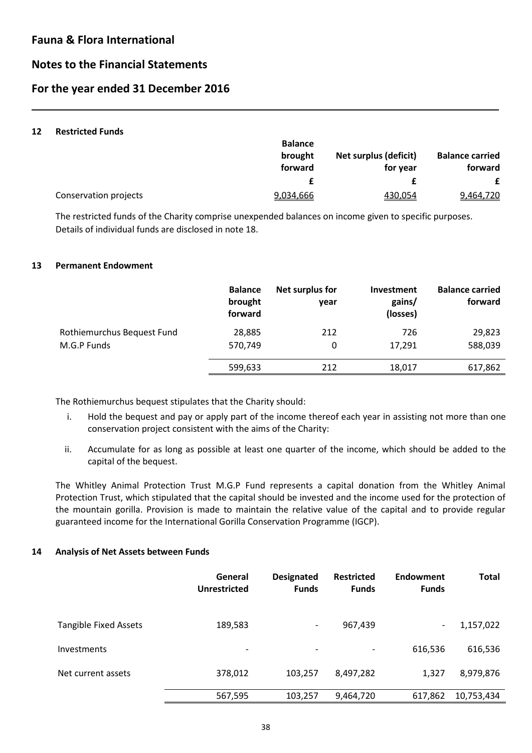# **Notes to the Financial Statements**

# **For the year ended 31 December 2016**

#### **12 Restricted Funds**

L

|                       | <b>Balance</b> |                       |                        |
|-----------------------|----------------|-----------------------|------------------------|
|                       | brought        | Net surplus (deficit) | <b>Balance carried</b> |
|                       | forward        | for year              | forward                |
|                       |                |                       |                        |
| Conservation projects | 9,034,666      | 430,054               | 9,464,720              |

The restricted funds of the Charity comprise unexpended balances on income given to specific purposes. Details of individual funds are disclosed in note 18.

#### **13 Permanent Endowment**

|                            | <b>Balance</b><br>brought<br>forward | Net surplus for<br>year | <b>Investment</b><br>gains/<br>(losses) | <b>Balance carried</b><br>forward |
|----------------------------|--------------------------------------|-------------------------|-----------------------------------------|-----------------------------------|
| Rothiemurchus Bequest Fund | 28,885                               | 212                     | 726                                     | 29,823                            |
| M.G.P Funds                | 570,749                              | 0                       | 17,291                                  | 588,039                           |
|                            | 599,633                              | 212                     | 18,017                                  | 617,862                           |

The Rothiemurchus bequest stipulates that the Charity should:

- i. Hold the bequest and pay or apply part of the income thereof each year in assisting not more than one conservation project consistent with the aims of the Charity:
- ii. Accumulate for as long as possible at least one quarter of the income, which should be added to the capital of the bequest.

The Whitley Animal Protection Trust M.G.P Fund represents a capital donation from the Whitley Animal Protection Trust, which stipulated that the capital should be invested and the income used for the protection of the mountain gorilla. Provision is made to maintain the relative value of the capital and to provide regular guaranteed income for the International Gorilla Conservation Programme (IGCP).

#### **14 Analysis of Net Assets between Funds**

|                              | General<br><b>Unrestricted</b> | <b>Designated</b><br><b>Funds</b> | <b>Restricted</b><br><b>Funds</b> | <b>Endowment</b><br><b>Funds</b> | <b>Total</b> |
|------------------------------|--------------------------------|-----------------------------------|-----------------------------------|----------------------------------|--------------|
| <b>Tangible Fixed Assets</b> | 189,583                        | $\overline{\phantom{a}}$          | 967,439                           | $\overline{\phantom{a}}$         | 1,157,022    |
| Investments                  | $\overline{\phantom{a}}$       | $\overline{\phantom{a}}$          |                                   | 616,536                          | 616,536      |
| Net current assets           | 378,012                        | 103,257                           | 8,497,282                         | 1,327                            | 8,979,876    |
|                              | 567,595                        | 103,257                           | 9,464,720                         | 617,862                          | 10,753,434   |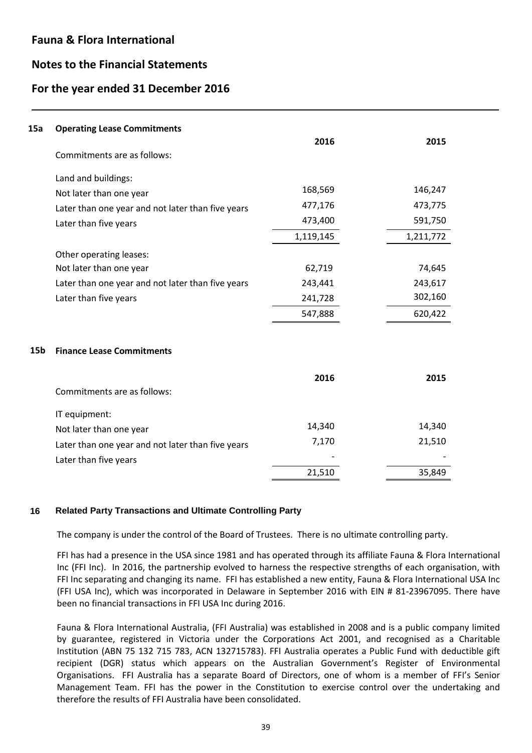L

### **Notes to the Financial Statements**

### **For the year ended 31 December 2016**

| 15a             | <b>Operating Lease Commitments</b>                |           |           |
|-----------------|---------------------------------------------------|-----------|-----------|
|                 | Commitments are as follows:                       | 2016      | 2015      |
|                 |                                                   |           |           |
|                 | Land and buildings:                               |           |           |
|                 | Not later than one year                           | 168,569   | 146,247   |
|                 | Later than one year and not later than five years | 477,176   | 473,775   |
|                 | Later than five years                             | 473,400   | 591,750   |
|                 |                                                   | 1,119,145 | 1,211,772 |
|                 | Other operating leases:                           |           |           |
|                 | Not later than one year                           | 62,719    | 74,645    |
|                 | Later than one year and not later than five years | 243,441   | 243,617   |
|                 | Later than five years                             | 241,728   | 302,160   |
|                 |                                                   | 547,888   | 620,422   |
|                 |                                                   |           |           |
| 15 <sub>b</sub> | <b>Finance Lease Commitments</b>                  |           |           |
|                 |                                                   | 2016      | 2015      |
|                 | Commitments are as follows:                       |           |           |
|                 | IT equipment:                                     |           |           |
|                 | Not later than one year                           | 14,340    | 14,340    |
|                 | Later than one year and not later than five years | 7,170     | 21,510    |
|                 | Later than five years                             |           |           |
|                 |                                                   | 21,510    | 35,849    |

### **16 Related Party Transactions and Ultimate Controlling Party**

The company is under the control of the Board of Trustees. There is no ultimate controlling party.

FFI has had a presence in the USA since 1981 and has operated through its affiliate Fauna & Flora International Inc (FFI Inc). In 2016, the partnership evolved to harness the respective strengths of each organisation, with FFI Inc separating and changing its name. FFI has established a new entity, Fauna & Flora International USA Inc (FFI USA Inc), which was incorporated in Delaware in September 2016 with EIN # 81-23967095. There have been no financial transactions in FFI USA Inc during 2016.

Fauna & Flora International Australia, (FFI Australia) was established in 2008 and is a public company limited by guarantee, registered in Victoria under the Corporations Act 2001, and recognised as a Charitable Institution (ABN 75 132 715 783, ACN 132715783). FFI Australia operates a Public Fund with deductible gift recipient (DGR) status which appears on the Australian Government's Register of Environmental Organisations. FFI Australia has a separate Board of Directors, one of whom is a member of FFI's Senior Management Team. FFI has the power in the Constitution to exercise control over the undertaking and therefore the results of FFI Australia have been consolidated.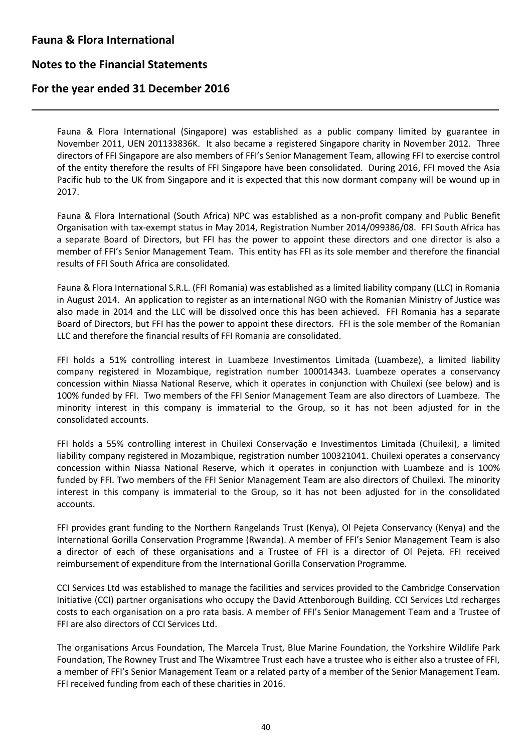L

### **Notes to the Financial Statements**

### **For the year ended 31 December 2016**

Fauna & Flora International (Singapore) was established as a public company limited by guarantee in November 2011, UEN 201133836K. It also became a registered Singapore charity in November 2012. Three directors of FFI Singapore are also members of FFI's Senior Management Team, allowing FFI to exercise control of the entity therefore the results of FFI Singapore have been consolidated. During 2016, FFI moved the Asia Pacific hub to the UK from Singapore and it is expected that this now dormant company will be wound up in 2017.

Fauna & Flora International (South Africa) NPC was established as a non-profit company and Public Benefit Organisation with tax-exempt status in May 2014, Registration Number 2014/099386/08. FFI South Africa has a separate Board of Directors, but FFI has the power to appoint these directors and one director is also a member of FFI's Senior Management Team. This entity has FFI as its sole member and therefore the financial results of FFI South Africa are consolidated.

Fauna & Flora International S.R.L. (FFI Romania) was established as a limited liability company (LLC) in Romania in August 2014. An application to register as an international NGO with the Romanian Ministry of Justice was also made in 2014 and the LLC will be dissolved once this has been achieved. FFI Romania has a separate Board of Directors, but FFI has the power to appoint these directors. FFI is the sole member of the Romanian LLC and therefore the financial results of FFI Romania are consolidated.

FFI holds a 51% controlling interest in Luambeze Investimentos Limitada (Luambeze), a limited liability company registered in Mozambique, registration number 100014343. Luambeze operates a conservancy concession within Niassa National Reserve, which it operates in conjunction with Chuilexi (see below) and is 100% funded by FFI. Two members of the FFI Senior Management Team are also directors of Luambeze. The minority interest in this company is immaterial to the Group, so it has not been adjusted for in the consolidated accounts.

FFI holds a 55% controlling interest in Chuilexi Conservação e Investimentos Limitada (Chuilexi), a limited liability company registered in Mozambique, registration number 100321041. Chuilexi operates a conservancy concession within Niassa National Reserve, which it operates in conjunction with Luambeze and is 100% funded by FFI. Two members of the FFI Senior Management Team are also directors of Chuilexi. The minority interest in this company is immaterial to the Group, so it has not been adjusted for in the consolidated accounts.

FFI provides grant funding to the Northern Rangelands Trust (Kenya), Ol Pejeta Conservancy (Kenya) and the International Gorilla Conservation Programme (Rwanda). A member of FFI's Senior Management Team is also a director of each of these organisations and a Trustee of FFI is a director of Ol Pejeta. FFI received reimbursement of expenditure from the International Gorilla Conservation Programme.

CCI Services Ltd was established to manage the facilities and services provided to the Cambridge Conservation Initiative (CCI) partner organisations who occupy the David Attenborough Building. CCI Services Ltd recharges costs to each organisation on a pro rata basis. A member of FFI's Senior Management Team and a Trustee of FFI are also directors of CCI Services Ltd.

The organisations Arcus Foundation, The Marcela Trust, Blue Marine Foundation, the Yorkshire Wildlife Park Foundation, The Rowney Trust and The Wixamtree Trust each have a trustee who is either also a trustee of FFI, a member of FFI's Senior Management Team or a related party of a member of the Senior Management Team. FFI received funding from each of these charities in 2016.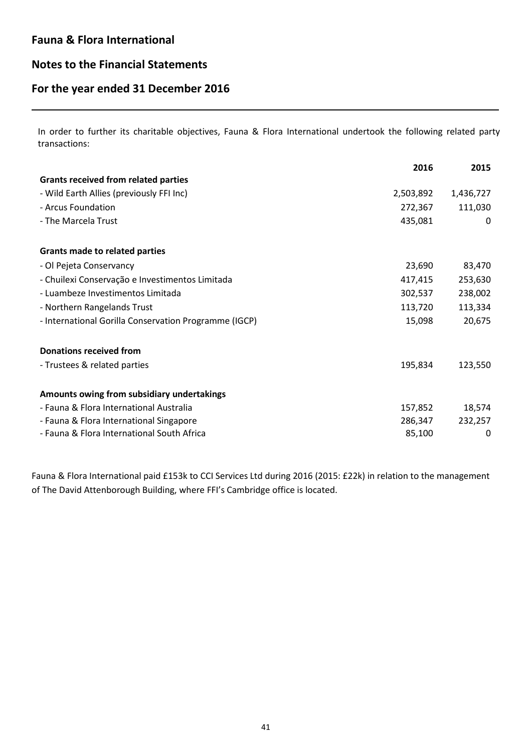L

## **Notes to the Financial Statements**

# **For the year ended 31 December 2016**

In order to further its charitable objectives, Fauna & Flora International undertook the following related party transactions:

|                                                       | 2016      | 2015      |
|-------------------------------------------------------|-----------|-----------|
| <b>Grants received from related parties</b>           |           |           |
| - Wild Earth Allies (previously FFI Inc)              | 2,503,892 | 1,436,727 |
| - Arcus Foundation                                    | 272,367   | 111,030   |
| - The Marcela Trust                                   | 435,081   | 0         |
| <b>Grants made to related parties</b>                 |           |           |
| - Ol Pejeta Conservancy                               | 23,690    | 83,470    |
| - Chuilexi Conservação e Investimentos Limitada       | 417,415   | 253,630   |
| - Luambeze Investimentos Limitada                     | 302,537   | 238,002   |
| - Northern Rangelands Trust                           | 113,720   | 113,334   |
| - International Gorilla Conservation Programme (IGCP) | 15,098    | 20,675    |
| <b>Donations received from</b>                        |           |           |
| - Trustees & related parties                          | 195,834   | 123,550   |
| Amounts owing from subsidiary undertakings            |           |           |
| - Fauna & Flora International Australia               | 157,852   | 18,574    |
| - Fauna & Flora International Singapore               | 286,347   | 232,257   |
| - Fauna & Flora International South Africa            | 85,100    | 0         |

Fauna & Flora International paid £153k to CCI Services Ltd during 2016 (2015: £22k) in relation to the management of The David Attenborough Building, where FFI's Cambridge office is located.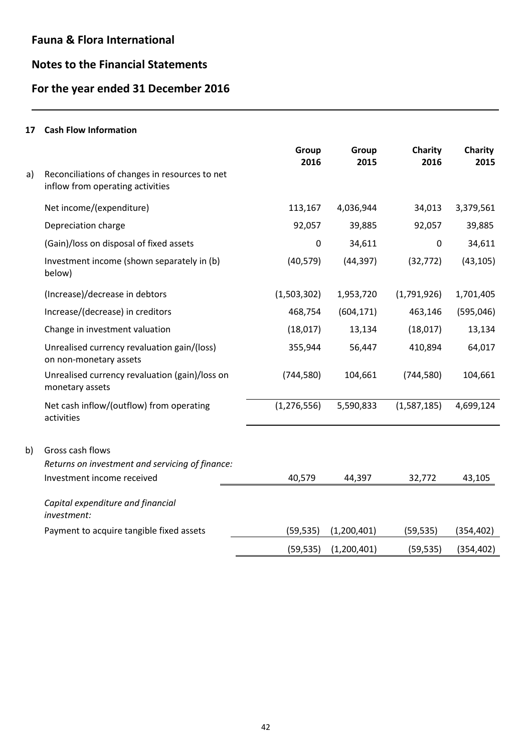# **Notes to the Financial Statements**

# **For the year ended 31 December 2016**

### **17 Cash Flow Information**

L

|    |                                                                                    | Group<br>2016 | Group<br>2015 | Charity<br>2016 | Charity<br>2015 |
|----|------------------------------------------------------------------------------------|---------------|---------------|-----------------|-----------------|
| a) | Reconciliations of changes in resources to net<br>inflow from operating activities |               |               |                 |                 |
|    | Net income/(expenditure)                                                           | 113,167       | 4,036,944     | 34,013          | 3,379,561       |
|    | Depreciation charge                                                                | 92,057        | 39,885        | 92,057          | 39,885          |
|    | (Gain)/loss on disposal of fixed assets                                            | 0             | 34,611        | 0               | 34,611          |
|    | Investment income (shown separately in (b)<br>below)                               | (40, 579)     | (44, 397)     | (32, 772)       | (43, 105)       |
|    | (Increase)/decrease in debtors                                                     | (1,503,302)   | 1,953,720     | (1,791,926)     | 1,701,405       |
|    | Increase/(decrease) in creditors                                                   | 468,754       | (604, 171)    | 463,146         | (595,046)       |
|    | Change in investment valuation                                                     | (18,017)      | 13,134        | (18,017)        | 13,134          |
|    | Unrealised currency revaluation gain/(loss)<br>on non-monetary assets              | 355,944       | 56,447        | 410,894         | 64,017          |
|    | Unrealised currency revaluation (gain)/loss on<br>monetary assets                  | (744, 580)    | 104,661       | (744, 580)      | 104,661         |
|    | Net cash inflow/(outflow) from operating<br>activities                             | (1, 276, 556) | 5,590,833     | (1,587,185)     | 4,699,124       |
| b) | Gross cash flows                                                                   |               |               |                 |                 |
|    | Returns on investment and servicing of finance:                                    |               |               |                 |                 |
|    | Investment income received                                                         | 40,579        | 44,397        | 32,772          | 43,105          |
|    | Capital expenditure and financial<br>investment:                                   |               |               |                 |                 |
|    | Payment to acquire tangible fixed assets                                           | (59, 535)     | (1,200,401)   | (59, 535)       | (354, 402)      |
|    |                                                                                    | (59, 535)     | (1,200,401)   | (59, 535)       | (354, 402)      |